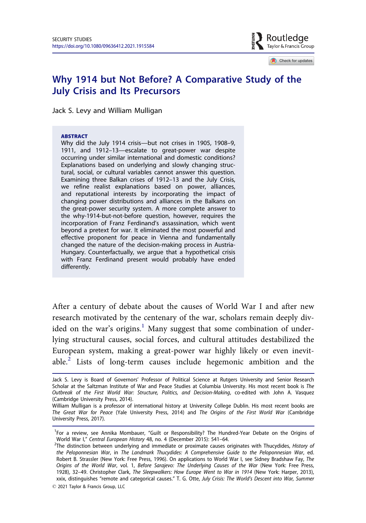

Check for updates

# Why 1914 but Not Before? A Comparative Study of the July Crisis and Its Precursors

Jack S. Levy and William Mulligan

#### ABSTRACT

Why did the July 1914 crisis—but not crises in 1905, 1908–9, 1911, and 1912–13—escalate to great-power war despite occurring under similar international and domestic conditions? Explanations based on underlying and slowly changing structural, social, or cultural variables cannot answer this question. Examining three Balkan crises of 1912–13 and the July Crisis, we refine realist explanations based on power, alliances, and reputational interests by incorporating the impact of changing power distributions and alliances in the Balkans on the great-power security system. A more complete answer to the why-1914-but-not-before question, however, requires the incorporation of Franz Ferdinand's assassination, which went beyond a pretext for war. It eliminated the most powerful and effective proponent for peace in Vienna and fundamentally changed the nature of the decision-making process in Austria-Hungary. Counterfactually, we argue that a hypothetical crisis with Franz Ferdinand present would probably have ended differently.

After a century of debate about the causes of World War I and after new research motivated by the centenary of the war, scholars remain deeply divided on the war's origins.<sup>1</sup> Many suggest that some combination of underlying structural causes, social forces, and cultural attitudes destabilized the European system, making a great-power war highly likely or even inevitable.<sup>2</sup> Lists of long-term causes include hegemonic ambition and the

Jack S. Levy is Board of Governors' Professor of Political Science at Rutgers University and Senior Research Scholar at the Saltzman Institute of War and Peace Studies at Columbia University. His most recent book is *The Outbreak of the First World War: Structure, Politics, and Decision-Making*, co-edited with John A. Vasquez (Cambridge University Press, 2014).

William Mulligan is a professor of international history at University College Dublin. His most recent books are *The Great War for Peace* (Yale University Press, 2014) and *The Origins of the First World War* (Cambridge University Press, 2017).

<sup>&</sup>lt;sup>1</sup>For a review, see Annika Mombauer, "Guilt or Responsibility? The Hundred-Year Debate on the Origins of World War I," *Central European History* 48, no. 4 (December 2015): 541–64.

<sup>2</sup> The distinction between underlying and immediate or proximate causes originates with Thucydides, *History of the Peloponnesian War*, in *The Landmark Thucydides: A Comprehensive Guide to the Peloponnesian War*, ed. Robert B. Strassler (New York: Free Press, 1996). On applications to World War I, see Sidney Bradshaw Fay, *The Origins of the World War*, vol. 1, *Before Sarajevo: The Underlying Causes of the War* (New York: Free Press, 1928), 32–49. Christopher Clark, *The Sleepwalkers: How Europe Went to War in 1914* (New York: Harper, 2013), xxix, distinguishes "remote and categorical causes." T. G. Otte, *July Crisis: The World*'*s Descent into War, Summer*

2021 Taylor & Francis Group, LLC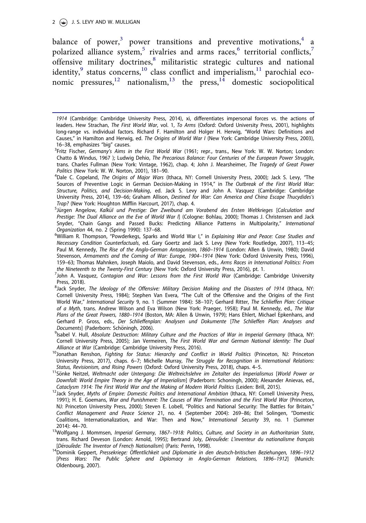#### $2 \left(\frac{1}{2}\right)$  J. S. LEVY AND W. MULLIGAN

balance of power, $^3$  power transitions and preventive motivations, $^4$  a polarized alliance system,<sup>5</sup> rivalries and arms races,<sup>6</sup> territorial conflicts,<sup>7</sup> offensive military doctrines,<sup>8</sup> militaristic strategic cultures and national identity,  $9$  status concerns,  $^{10}$  class conflict and imperialism,  $^{11}$  parochial economic pressures,<sup>12</sup> nationalism,<sup>13</sup> the press,<sup>14</sup> domestic sociopolitical

<sup>14</sup>Dominik Geppert, Pressekriege: Öffentlichkeit und Diplomatie in den deutsch-britischen Beziehungen, 1896–1912 [*Press Wars: The Public Sphere and Diplomacy in Anglo-German Relations, 1896*–*1912*] (Munich: Oldenbourg, 2007).

*<sup>1914</sup>* (Cambridge: Cambridge University Press, 2014), xi, differentiates impersonal forces vs. the actions of leaders. Hew Strachan, *The First World War*, vol. 1, *To Arms* (Oxford: Oxford University Press, 2001), highlights long-range vs. individual factors. Richard F. Hamilton and Holger H. Herwig, "World Wars: Definitions and Causes," in Hamilton and Herwig, ed. *The Origins of World War I* (New York: Cambridge University Press, 2003), 16–38, emphasizes "big" causes.

<sup>3</sup> Fritz Fischer, *Germany*'*s Aims in the First World War* (1961; repr., trans., New York: W. W. Norton; London: Chatto & Windus, 1967 ); Ludwig Dehio, *The Precarious Balance: Four Centuries of the European Power Struggle*, trans. Charles Fullman (New York: Vintage, 1962), chap. 4; John J. Mearsheimer, *The Tragedy of Great Power Politics* (New York: W. W. Norton, 2001), 181–90.

<sup>4</sup> Dale C. Copeland, *The Origins of Major Wars* (Ithaca, NY: Cornell University Press, 2000); Jack S. Levy, "The Sources of Preventive Logic in German Decision-Making in 1914," in *The Outbreak of the First World War: Structure, Politics, and Decision-Making*, ed. Jack S. Levy and John A. Vasquez (Cambridge: Cambridge University Press, 2014), 139–66; Graham Allison, *Destined for War: Can America and China Escape Thucydides*'*s Trap?* (New York: Houghton Mifflin Harcourt, 2017), chap. 4.

<sup>5</sup> Jurgen Angelow, € *Kalk*€*ul und Prestige: Der Zweibund am Vorabend des Ersten Weltkrieges* [*Calculation and Prestige: The Dual Alliance on the Eve of World War I*] (Cologne: Bohlau, 2000); Thomas J. Christensen and Jack Snyder, "Chain Gangs and Passed Bucks: Predicting Alliance Patterns in Multipolarity," *International Organization* 44, no. 2 (Spring 1990): 137–68.

<sup>6</sup>William R. Thompson, "Powderkegs, Sparks and World War I," in *Explaining War and Peace: Case Studies and Necessary Condition Counterfactuals*, ed. Gary Goertz and Jack S. Levy (New York: Routledge, 2007), 113–45; Paul M. Kennedy, *The Rise of the Anglo-German Antagonism, 1860*–*1914* (London: Allen & Unwin, 1980); David Stevenson, *Armaments and the Coming of War: Europe, 1904*–*1914* (New York: Oxford University Press, 1996), 159–63; Thomas Mahnken, Joseph Maiolo, and David Stevenson, eds., *Arms Races in International Politics: From the Nineteenth to the Twenty-First Century* (New York: Oxford University Press, 2016), pt. 1.

<sup>7</sup> John A. Vasquez, *Contagion and War: Lessons from the First World War* (Cambridge: Cambridge University Press, 2018).

<sup>8</sup> Jack Snyder, *The Ideology of the Offensive: Military Decision Making and the Disasters of 1914* (Ithaca, NY: Cornell University Press, 1984); Stephen Van Evera, "The Cult of the Offensive and the Origins of the First World War," *International Security* 9, no. 1 (Summer 1984): 58–107; Gerhard Ritter, *The Schlieffen Plan: Critique of a Myth*, trans. Andrew Wilson and Eva Wilson (New York: Praeger, 1958); Paul M. Kennedy, ed., *The War Plans of the Great Powers, 1880*–*1914* (Boston, MA: Allen & Unwin, 1979); Hans Ehlert, Michael Epkenhans, and Gerhard P. Gross, eds., *Der Schlieffenplan: Analysen und Dokumente* [*The Schlieffen Plan: Analyses and Documents*] (Paderborn: Schöningh, 2006).

<sup>9</sup> Isabel V. Hull, *Absolute Destruction: Military Culture and the Practices of War in Imperial Germany* (Ithaca, NY: Cornell University Press, 2005); Jan Vermeiren, *The First World War and German National Identity: The Dual Alliance at War* (Cambridge: Cambridge University Press, 2016).

<sup>10</sup>Jonathan Renshon, *Fighting for Status: Hierarchy and Conflict in World Politics* (Princeton, NJ: Princeton University Press, 2017), chaps. 6–7; Michelle Murray, *The Struggle for Recognition in International Relations: Status, Revisionism, and Rising Powers* (Oxford: Oxford University Press, 2018), chaps. 4–5.

<sup>&</sup>lt;sup>11</sup>Sönke Neitzel, Weltmacht oder Untergang: Die Weltreichslehre im Zeitalter des Imperialismus [World Power or *Downfall: World Empire Theory in the Age of Imperialism*] (Paderborn: Schoningh, 2000); Alexander Anievas, ed., *Cataclysm 1914: The First World War and the Making of Modern World Politics* (Leiden: Brill, 2015).

<sup>&</sup>lt;sup>12</sup>Jack Snyder, Myths of Empire: Domestic Politics and International Ambition (Ithaca, NY: Cornell University Press, 1991); H. E. Goemans, *War and Punishment: The Causes of War Termination and the First World War* (Princeton, NJ: Princeton University Press, 2000); Steven E. Lobell, "Politics and National Security: The Battles for Britain," *Conflict Management and Peace Science* 21, no. 4 (September 2004): 269–86; Etel Solingen, "Domestic Coalitions, Internationalization, and War: Then and Now," *International Security* 39, no. 1 (Summer 2014): 44–70.

<sup>13</sup>Wolfgang J. Mommsen, *Imperial Germany, 1867*–*1918: Politics, Culture, and Society in an Authoritarian State*, trans. Richard Deveson (London: Arnold, 1995); Bertrand Joly, *Déroulède: L'inventeur du nationalisme français* [*D*-*eroulede: The Inventor of French Nationalism*] (Paris: Perrin, 1998).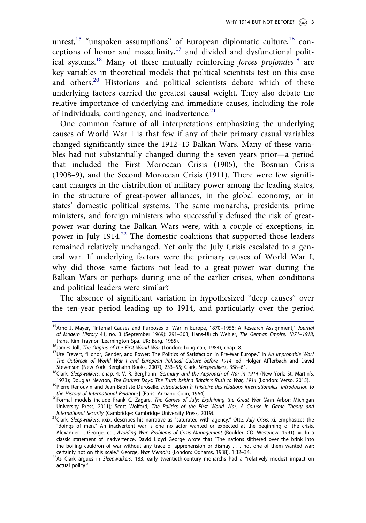unrest,<sup>15</sup> "unspoken assumptions" of European diplomatic culture,<sup>16</sup> conceptions of honor and masculinity, $17$  and divided and dysfunctional political systems.<sup>18</sup> Many of these mutually reinforcing forces profondes<sup>19</sup> are key variables in theoretical models that political scientists test on this case and others.<sup>20</sup> Historians and political scientists debate which of these underlying factors carried the greatest causal weight. They also debate the relative importance of underlying and immediate causes, including the role of individuals, contingency, and inadvertence.<sup>21</sup>

One common feature of all interpretations emphasizing the underlying causes of World War I is that few if any of their primary casual variables changed significantly since the 1912–13 Balkan Wars. Many of these variables had not substantially changed during the seven years prior—a period that included the First Moroccan Crisis (1905), the Bosnian Crisis (1908–9), and the Second Moroccan Crisis (1911). There were few significant changes in the distribution of military power among the leading states, in the structure of great-power alliances, in the global economy, or in states' domestic political systems. The same monarchs, presidents, prime ministers, and foreign ministers who successfully defused the risk of greatpower war during the Balkan Wars were, with a couple of exceptions, in power in July  $1914<sup>22</sup>$ . The domestic coalitions that supported those leaders remained relatively unchanged. Yet only the July Crisis escalated to a general war. If underlying factors were the primary causes of World War I, why did those same factors not lead to a great-power war during the Balkan Wars or perhaps during one of the earlier crises, when conditions and political leaders were similar?

The absence of significant variation in hypothesized "deep causes" over the ten-year period leading up to 1914, and particularly over the period

<sup>15</sup>Arno J. Mayer, "Internal Causes and Purposes of War in Europe, 1870–1956: A Research Assignment," *Journal of Modern History* 41, no. 3 (September 1969): 291–303; Hans-Ulrich Wehler, *The German Empire, 1871*–*1918*, trans. Kim Traynor (Leamington Spa, UK: Berg, 1985).

<sup>16</sup>James Joll, *The Origins of the First World War* (London: Longman, 1984), chap. 8.

<sup>&</sup>lt;sup>17</sup>Ute Frevert, "Honor, Gender, and Power: The Politics of Satisfaction in Pre-War Europe," in An Improbable War? *The Outbreak of World War I and European Political Culture before 1914*, ed. Holger Afflerbach and David Stevenson (New York: Berghahn Books, 2007), 233–55; Clark, *Sleepwalkers*, 358–61.

<sup>18</sup>Clark, *Sleepwalkers*, chap. 4; V. R. Berghahn, *Germany and the Approach of War in 1914* (New York: St. Martin's, 1973); Douglas Newton, *The Darkest Days: The Truth behind Britain*'*s Rush to War, 1914* (London: Verso, 2015).

<sup>&</sup>lt;sup>19</sup>Pierre Renouvin and Jean-Baptiste Duroselle, Introduction à l'histoire des rélations internationales [Introduction to *the History of International Relations*] (Paris: Armand Colin, 1964).

<sup>20</sup>Formal models include Frank C. Zagare, *The Games of July: Explaining the Great War* (Ann Arbor: Michigan University Press, 2011); Scott Wolford, *The Politics of the First World War: A Course in Game Theory and International Security* (Cambridge: Cambridge University Press, 2019).

<sup>21</sup>Clark, *Sleepwalkers*, xxix, describes his narrative as "saturated with agency." Otte, *July Crisis*, xi, emphasizes the "doings of men." An inadvertent war is one no actor wanted or expected at the beginning of the crisis. Alexander L. George, ed., *Avoiding War: Problems of Crisis Management* (Boulder, CO: Westview, 1991), xi. In a classic statement of inadvertence, David Lloyd George wrote that "The nations slithered over the brink into the boiling cauldron of war without any trace of apprehension or dismay . . . not one of them wanted war; certainly not on this scale." George, *War Memoirs* (London: Odhams, 1938), 1:32–34.

<sup>22</sup>As Clark argues in *Sleepwalkers*, 183, early twentieth-century monarchs had a "relatively modest impact on actual policy."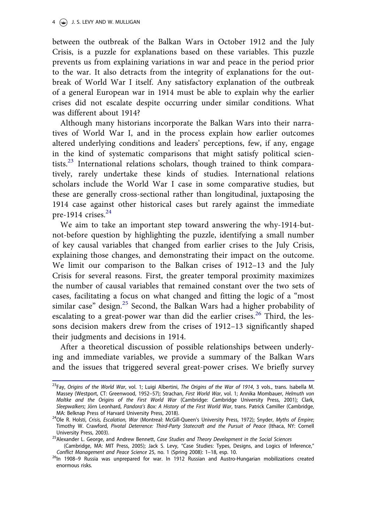between the outbreak of the Balkan Wars in October 1912 and the July Crisis, is a puzzle for explanations based on these variables. This puzzle prevents us from explaining variations in war and peace in the period prior to the war. It also detracts from the integrity of explanations for the outbreak of World War I itself. Any satisfactory explanation of the outbreak of a general European war in 1914 must be able to explain why the earlier crises did not escalate despite occurring under similar conditions. What was different about 1914?

Although many historians incorporate the Balkan Wars into their narratives of World War I, and in the process explain how earlier outcomes altered underlying conditions and leaders' perceptions, few, if any, engage in the kind of systematic comparisons that might satisfy political scientists.<sup>23</sup> International relations scholars, though trained to think comparatively, rarely undertake these kinds of studies. International relations scholars include the World War I case in some comparative studies, but these are generally cross-sectional rather than longitudinal, juxtaposing the 1914 case against other historical cases but rarely against the immediate pre-1914 crises. $24$ 

We aim to take an important step toward answering the why-1914-butnot-before question by highlighting the puzzle, identifying a small number of key causal variables that changed from earlier crises to the July Crisis, explaining those changes, and demonstrating their impact on the outcome. We limit our comparison to the Balkan crises of 1912–13 and the July Crisis for several reasons. First, the greater temporal proximity maximizes the number of causal variables that remained constant over the two sets of cases, facilitating a focus on what changed and fitting the logic of a "most similar case" design.<sup>25</sup> Second, the Balkan Wars had a higher probability of escalating to a great-power war than did the earlier crises.<sup>26</sup> Third, the lessons decision makers drew from the crises of 1912–13 significantly shaped their judgments and decisions in 1914.

After a theoretical discussion of possible relationships between underlying and immediate variables, we provide a summary of the Balkan Wars and the issues that triggered several great-power crises. We briefly survey

<sup>23</sup>Fay, *Origins of the World War*, vol. 1; Luigi Albertini, *The Origins of the War of 1914*, 3 vols., trans. Isabella M. Massey (Westport, CT: Greenwood, 1952–57); Strachan, *First World War*, vol. 1; Annika Mombauer, *Helmuth von Moltke and the Origins of the First World War* (Cambridge: Cambridge University Press, 2001); Clark, *Sleepwalkers*; Jorn Leonhard, € *Pandora*'*s Box: A History of the First World War*, trans. Patrick Camiller (Cambridge, MA: Belknap Press of Harvard University Press, 2018).

<sup>24</sup>Ole R. Holsti, *Crisis, Escalation, War* (Montreal: McGill-Queen's University Press, 1972); Snyder, *Myths of Empire*; Timothy W. Crawford, *Pivotal Deterrence: Third-Party Statecraft and the Pursuit of Peace* (Ithaca, NY: Cornell University Press, 2003).

<sup>25</sup>Alexander L. George, and Andrew Bennett, *Case Studies and Theory Development in the Social Sciences*

<sup>(</sup>Cambridge, MA: MIT Press, 2005); Jack S. Levy, "Case Studies: Types, Designs, and Logics of Inference," *Conflict Management and Peace Science* 25, no. 1 (Spring 2008): 1–18, esp. 10.

<sup>26</sup>In 1908–9 Russia was unprepared for war. In 1912 Russian and Austro-Hungarian mobilizations created enormous risks.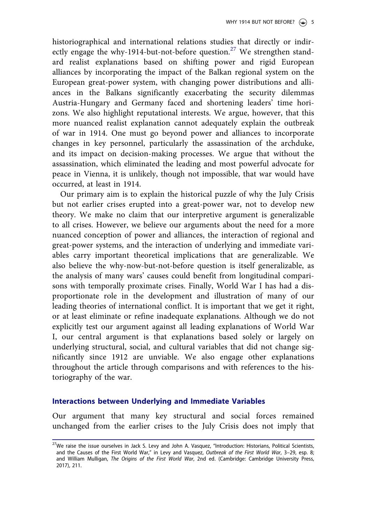historiographical and international relations studies that directly or indirectly engage the why-1914-but-not-before question.<sup>27</sup> We strengthen standard realist explanations based on shifting power and rigid European alliances by incorporating the impact of the Balkan regional system on the European great-power system, with changing power distributions and alliances in the Balkans significantly exacerbating the security dilemmas Austria-Hungary and Germany faced and shortening leaders' time horizons. We also highlight reputational interests. We argue, however, that this more nuanced realist explanation cannot adequately explain the outbreak of war in 1914. One must go beyond power and alliances to incorporate changes in key personnel, particularly the assassination of the archduke, and its impact on decision-making processes. We argue that without the assassination, which eliminated the leading and most powerful advocate for peace in Vienna, it is unlikely, though not impossible, that war would have occurred, at least in 1914.

Our primary aim is to explain the historical puzzle of why the July Crisis but not earlier crises erupted into a great-power war, not to develop new theory. We make no claim that our interpretive argument is generalizable to all crises. However, we believe our arguments about the need for a more nuanced conception of power and alliances, the interaction of regional and great-power systems, and the interaction of underlying and immediate variables carry important theoretical implications that are generalizable. We also believe the why-now-but-not-before question is itself generalizable, as the analysis of many wars' causes could benefit from longitudinal comparisons with temporally proximate crises. Finally, World War I has had a disproportionate role in the development and illustration of many of our leading theories of international conflict. It is important that we get it right, or at least eliminate or refine inadequate explanations. Although we do not explicitly test our argument against all leading explanations of World War I, our central argument is that explanations based solely or largely on underlying structural, social, and cultural variables that did not change significantly since 1912 are unviable. We also engage other explanations throughout the article through comparisons and with references to the historiography of the war.

## Interactions between Underlying and Immediate Variables

Our argument that many key structural and social forces remained unchanged from the earlier crises to the July Crisis does not imply that

<sup>&</sup>lt;sup>27</sup>We raise the issue ourselves in Jack S. Levy and John A. Vasquez, "Introduction: Historians, Political Scientists, and the Causes of the First World War," in Levy and Vasquez, *Outbreak of the First World War*, 3–29, esp. 8; and William Mulligan, *The Origins of the First World War*, 2nd ed. (Cambridge: Cambridge University Press, 2017), 211.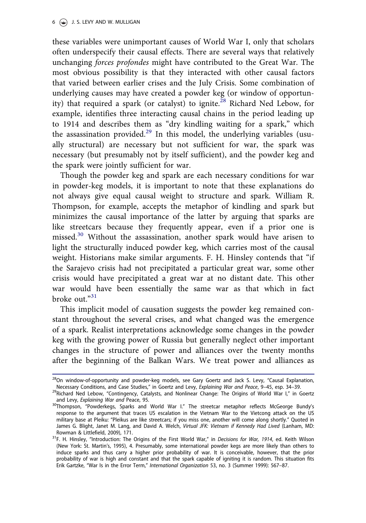these variables were unimportant causes of World War I, only that scholars often underspecify their causal effects. There are several ways that relatively unchanging forces profondes might have contributed to the Great War. The most obvious possibility is that they interacted with other causal factors that varied between earlier crises and the July Crisis. Some combination of underlying causes may have created a powder keg (or window of opportunity) that required a spark (or catalyst) to ignite.<sup>28</sup> Richard Ned Lebow, for example, identifies three interacting causal chains in the period leading up to 1914 and describes them as "dry kindling waiting for a spark," which the assassination provided.<sup>29</sup> In this model, the underlying variables (usually structural) are necessary but not sufficient for war, the spark was necessary (but presumably not by itself sufficient), and the powder keg and the spark were jointly sufficient for war.

Though the powder keg and spark are each necessary conditions for war in powder-keg models, it is important to note that these explanations do not always give equal causal weight to structure and spark. William R. Thompson, for example, accepts the metaphor of kindling and spark but minimizes the causal importance of the latter by arguing that sparks are like streetcars because they frequently appear, even if a prior one is missed.<sup>30</sup> Without the assassination, another spark would have arisen to light the structurally induced powder keg, which carries most of the causal weight. Historians make similar arguments. F. H. Hinsley contends that "if the Sarajevo crisis had not precipitated a particular great war, some other crisis would have precipitated a great war at no distant date. This other war would have been essentially the same war as that which in fact broke out." 31

This implicit model of causation suggests the powder keg remained constant throughout the several crises, and what changed was the emergence of a spark. Realist interpretations acknowledge some changes in the powder keg with the growing power of Russia but generally neglect other important changes in the structure of power and alliances over the twenty months after the beginning of the Balkan Wars. We treat power and alliances as

 $^{28}$ On window-of-opportunity and powder-keg models, see Gary Goertz and Jack S. Levy, "Causal Explanation, Necessary Conditions, and Case Studies," in Goertz and Levy, *Explaining War and Peace*, 9–45, esp. 34–39.

<sup>29</sup>Richard Ned Lebow, "Contingency, Catalysts, and Nonlinear Change: The Origins of World War I," in Goertz and Levy, *Explaining War and* Peace, 95. <sup>30</sup>Thompson, "Powderkegs, Sparks and World War I." The streetcar metaphor reflects McGeorge Bundy's

response to the argument that traces US escalation in the Vietnam War to the Vietcong attack on the US military base at Pleiku: "Pleikus are like streetcars; if you miss one, another will come along shortly." Quoted in James G. Blight, Janet M. Lang, and David A. Welch, *Virtual JFK: Vietnam if Kennedy Had Lived* (Lanham, MD: Rowman & Littlefield, 2009), 171.

<sup>31</sup>F. H. Hinsley, "Introduction: The Origins of the First World War," in *Decisions for War, 1914*, ed. Keith Wilson (New York: St. Martin's, 1995), 4. Presumably, some international powder kegs are more likely than others to induce sparks and thus carry a higher prior probability of war. It is conceivable, however, that the prior probability of war is high and constant and that the spark capable of igniting it is random. This situation fits Erik Gartzke, "War Is in the Error Term," *International Organization* 53, no. 3 (Summer 1999): 567–87.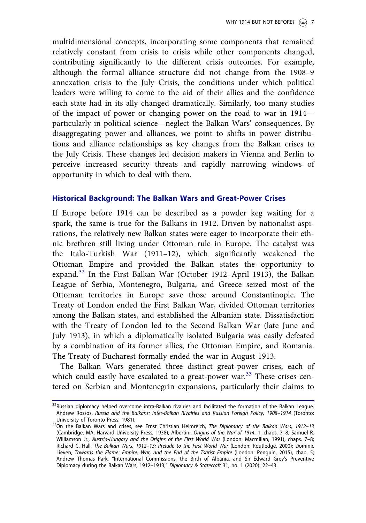multidimensional concepts, incorporating some components that remained relatively constant from crisis to crisis while other components changed, contributing significantly to the different crisis outcomes. For example, although the formal alliance structure did not change from the 1908–9 annexation crisis to the July Crisis, the conditions under which political leaders were willing to come to the aid of their allies and the confidence each state had in its ally changed dramatically. Similarly, too many studies of the impact of power or changing power on the road to war in 1914 particularly in political science—neglect the Balkan Wars' consequences. By disaggregating power and alliances, we point to shifts in power distributions and alliance relationships as key changes from the Balkan crises to the July Crisis. These changes led decision makers in Vienna and Berlin to perceive increased security threats and rapidly narrowing windows of opportunity in which to deal with them.

## Historical Background: The Balkan Wars and Great-Power Crises

If Europe before 1914 can be described as a powder keg waiting for a spark, the same is true for the Balkans in 1912. Driven by nationalist aspirations, the relatively new Balkan states were eager to incorporate their ethnic brethren still living under Ottoman rule in Europe. The catalyst was the Italo-Turkish War (1911–12), which significantly weakened the Ottoman Empire and provided the Balkan states the opportunity to expand.<sup>32</sup> In the First Balkan War (October 1912–April 1913), the Balkan League of Serbia, Montenegro, Bulgaria, and Greece seized most of the Ottoman territories in Europe save those around Constantinople. The Treaty of London ended the First Balkan War, divided Ottoman territories among the Balkan states, and established the Albanian state. Dissatisfaction with the Treaty of London led to the Second Balkan War (late June and July 1913), in which a diplomatically isolated Bulgaria was easily defeated by a combination of its former allies, the Ottoman Empire, and Romania. The Treaty of Bucharest formally ended the war in August 1913.

The Balkan Wars generated three distinct great-power crises, each of which could easily have escalated to a great-power war.<sup>33</sup> These crises centered on Serbian and Montenegrin expansions, particularly their claims to

<sup>&</sup>lt;sup>32</sup>Russian diplomacy helped overcome intra-Balkan rivalries and facilitated the formation of the Balkan League. Andrew Rossos, *Russia and the Balkans: Inter-Balkan Rivalries and Russian Foreign Policy, 1908*–*1914* (Toronto: University of Toronto Press, 1981).

<sup>33</sup>On the Balkan Wars and crises, see Ernst Christian Helmreich, *The Diplomacy of the Balkan Wars, 1912*–*13* (Cambridge, MA: Harvard University Press, 1938); Albertini, *Origins of the War of 1914*, 1: chaps. 7–8; Samuel R. Williamson Jr., *Austria-Hungary and the Origins of the First World War* (London: Macmillan, 1991), chaps. 7–8; Richard C. Hall, *The Balkan Wars, 1912*–*13: Prelude to the First World War* (London: Routledge, 2000); Dominic Lieven, *Towards the Flame: Empire, War, and the End of the Tsarist Empire* (London: Penguin, 2015), chap. 5; Andrew Thomas Park, "International Commissions, the Birth of Albania, and Sir Edward Grey's Preventive Diplomacy during the Balkan Wars, 1912–1913," *Diplomacy & Statecraft* 31, no. 1 (2020): 22–43.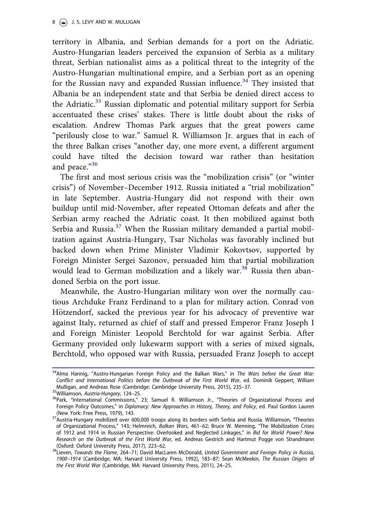territory in Albania, and Serbian demands for a port on the Adriatic. Austro-Hungarian leaders perceived the expansion of Serbia as a military threat, Serbian nationalist aims as a political threat to the integrity of the Austro-Hungarian multinational empire, and a Serbian port as an opening for the Russian navy and expanded Russian influence.<sup>34</sup> They insisted that Albania be an independent state and that Serbia be denied direct access to the Adriatic.<sup>35</sup> Russian diplomatic and potential military support for Serbia accentuated these crises' stakes. There is little doubt about the risks of escalation. Andrew Thomas Park argues that the great powers came "perilously close to war." Samuel R. Williamson Jr. argues that in each of the three Balkan crises "another day, one more event, a different argument could have tilted the decision toward war rather than hesitation and peace."<sup>36</sup>

The first and most serious crisis was the "mobilization crisis" (or "winter crisis") of November–December 1912. Russia initiated a "trial mobilization" in late September. Austria-Hungary did not respond with their own buildup until mid-November, after repeated Ottoman defeats and after the Serbian army reached the Adriatic coast. It then mobilized against both Serbia and Russia.<sup>37</sup> When the Russian military demanded a partial mobilization against Austria-Hungary, Tsar Nicholas was favorably inclined but backed down when Prime Minister Vladimir Kokovtsov, supported by Foreign Minister Sergei Sazonov, persuaded him that partial mobilization would lead to German mobilization and a likely war.<sup>38</sup> Russia then abandoned Serbia on the port issue.

Meanwhile, the Austro-Hungarian military won over the normally cautious Archduke Franz Ferdinand to a plan for military action. Conrad von Hötzendorf, sacked the previous year for his advocacy of preventive war against Italy, returned as chief of staff and pressed Emperor Franz Joseph I and Foreign Minister Leopold Berchtold for war against Serbia. After Germany provided only lukewarm support with a series of mixed signals, Berchtold, who opposed war with Russia, persuaded Franz Joseph to accept

<sup>34</sup>Alma Hannig, "Austro-Hungarian Foreign Policy and the Balkan Wars," in *The Wars before the Great War: Conflict and International Politics before the Outbreak of the First World War*, ed. Dominik Geppert, William Mulligan, and Andreas Rose (Cambridge: Cambridge University Press, 2015), 235–37.

<sup>35</sup>Williamson, *Austria-Hungary*, 124–25.

<sup>&</sup>lt;sup>36</sup>Park, "International Commissions," 23; Samuel R. Williamson Jr., "Theories of Organizational Process and Foreign Policy Outcomes," in *Diplomacy: New Approaches in History, Theory, and Policy*, ed. Paul Gordon Lauren (New York: Free Press, 1979), 143.

<sup>&</sup>lt;sup>37</sup>Austria-Hungary mobilized over 600,000 troops along its borders with Serbia and Russia. Williamson, "Theories of Organizational Process," 143; Helmreich, *Balkan Wars*, 461–62; Bruce W. Menning, "The Mobilization Crises of 1912 and 1914 in Russian Perspective: Overlooked and Neglected Linkages," in *Bid for World Power? New Research on the Outbreak of the First World War*, ed. Andreas Gestrich and Hartmut Pogge von Strandmann (Oxford: Oxford University Press, 2017), 223–62.

<sup>38</sup>Lieven, *Towards the Flame*, 264–71; David MacLaren McDonald, *United Government and Foreign Policy in Russia, 1900*–*1914* (Cambridge, MA: Harvard University Press, 1992), 183–87; Sean McMeekin, *The Russian Origins of the First World War* (Cambridge, MA: Harvard University Press, 2011), 24–25.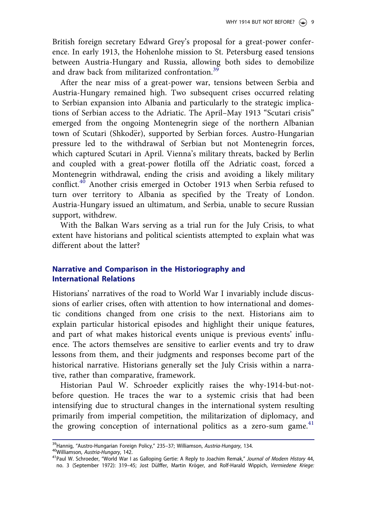British foreign secretary Edward Grey's proposal for a great-power conference. In early 1913, the Hohenlohe mission to St. Petersburg eased tensions between Austria-Hungary and Russia, allowing both sides to demobilize and draw back from militarized confrontation.<sup>39</sup>

After the near miss of a great-power war, tensions between Serbia and Austria-Hungary remained high. Two subsequent crises occurred relating to Serbian expansion into Albania and particularly to the strategic implications of Serbian access to the Adriatic. The April–May 1913 "Scutari crisis" emerged from the ongoing Montenegrin siege of the northern Albanian town of Scutari (Shkod€er), supported by Serbian forces. Austro-Hungarian pressure led to the withdrawal of Serbian but not Montenegrin forces, which captured Scutari in April. Vienna's military threats, backed by Berlin and coupled with a great-power flotilla off the Adriatic coast, forced a Montenegrin withdrawal, ending the crisis and avoiding a likely military conflict.<sup>40</sup> Another crisis emerged in October 1913 when Serbia refused to turn over territory to Albania as specified by the Treaty of London. Austria-Hungary issued an ultimatum, and Serbia, unable to secure Russian support, withdrew.

With the Balkan Wars serving as a trial run for the July Crisis, to what extent have historians and political scientists attempted to explain what was different about the latter?

# Narrative and Comparison in the Historiography and International Relations

Historians' narratives of the road to World War I invariably include discussions of earlier crises, often with attention to how international and domestic conditions changed from one crisis to the next. Historians aim to explain particular historical episodes and highlight their unique features, and part of what makes historical events unique is previous events' influence. The actors themselves are sensitive to earlier events and try to draw lessons from them, and their judgments and responses become part of the historical narrative. Historians generally set the July Crisis within a narrative, rather than comparative, framework.

Historian Paul W. Schroeder explicitly raises the why-1914-but-notbefore question. He traces the war to a systemic crisis that had been intensifying due to structural changes in the international system resulting primarily from imperial competition, the militarization of diplomacy, and the growing conception of international politics as a zero-sum game. $41$ 

<sup>39</sup>Hannig, "Austro-Hungarian Foreign Policy," 235–37; Williamson, *Austria-Hungary*, 134.

<sup>40</sup>Williamson, *Austria-Hungary*, 142.

<sup>41</sup>Paul W. Schroeder, "World War I as Galloping Gertie: A Reply to Joachim Remak," *Journal of Modern History* 44, no. 3 (September 1972): 319–45; Jost Dülffer, Martin Kröger, and Rolf-Harald Wippich, Vermiedene Kriege: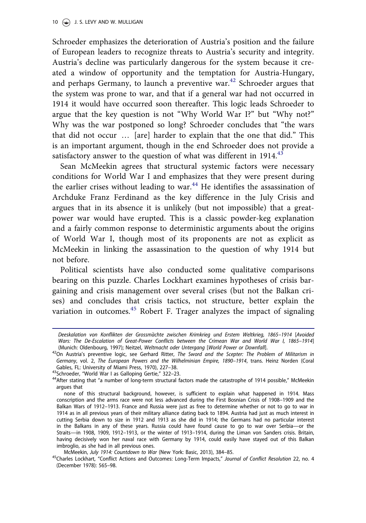Schroeder emphasizes the deterioration of Austria's position and the failure of European leaders to recognize threats to Austria's security and integrity. Austria's decline was particularly dangerous for the system because it created a window of opportunity and the temptation for Austria-Hungary, and perhaps Germany, to launch a preventive war. $42$  Schroeder argues that the system was prone to war, and that if a general war had not occurred in 1914 it would have occurred soon thereafter. This logic leads Schroeder to argue that the key question is not "Why World War I?" but "Why not?" Why was the war postponed so long? Schroeder concludes that "the wars that did not occur … [are] harder to explain that the one that did." This is an important argument, though in the end Schroeder does not provide a satisfactory answer to the question of what was different in  $1914<sup>43</sup>$ 

Sean McMeekin agrees that structural systemic factors were necessary conditions for World War I and emphasizes that they were present during the earlier crises without leading to war.<sup>44</sup> He identifies the assassination of Archduke Franz Ferdinand as the key difference in the July Crisis and argues that in its absence it is unlikely (but not impossible) that a greatpower war would have erupted. This is a classic powder-keg explanation and a fairly common response to deterministic arguments about the origins of World War I, though most of its proponents are not as explicit as McMeekin in linking the assassination to the question of why 1914 but not before.

Political scientists have also conducted some qualitative comparisons bearing on this puzzle. Charles Lockhart examines hypotheses of crisis bargaining and crisis management over several crises (but not the Balkan crises) and concludes that crisis tactics, not structure, better explain the variation in outcomes.<sup>45</sup> Robert F. Trager analyzes the impact of signaling

43Schroeder, "World War I as Galloping Gertie," 322-23.

*<sup>41</sup> Deeskalation von Konflikten der Grossm*€*achte zwischen Krimkrieg und Erstem Weltkrieg, 1865*–*1914* [*Avoided Wars: The De-Escalation of Great-Power Conflicts between the Crimean War and World War I, 1865*–*1914*] (Munich: Oldenbourg, 1997); Neitzel, *Weltmacht oder Untergang* [*World Power or Downfall*].

<sup>42</sup>On Austria's preventive logic, see Gerhard Ritter, *The Sword and the Scepter: The Problem of Militarism in Germany*, vol. 2, *The European Powers and the Wilhelminian Empire, 1890*–*1914*, trans. Heinz Norden (Coral Gables, FL: University of Miami Press, 1970), 227–38.

<sup>&</sup>lt;sup>44</sup>After stating that "a number of long-term structural factors made the catastrophe of 1914 possible," McMeekin argues that

none of this structural background, however, is sufficient to explain what happened in 1914. Mass conscription and the arms race were not less advanced during the First Bosnian Crisis of 1908–1909 and the Balkan Wars of 1912–1913. France and Russia were just as free to determine whether or not to go to war in 1914 as in all previous years of their military alliance dating back to 1894. Austria had just as much interest in cutting Serbia down to size in 1912 and 1913 as she did in 1914; the Germans had no particular interest in the Balkans in any of these years. Russia could have found cause to go to war over Serbia—or the Straits—in 1908, 1909, 1912–1913, or the winter of 1913–1914, during the Liman von Sanders crisis. Britain, having decisively won her naval race with Germany by 1914, could easily have stayed out of this Balkan imbroglio, as she had in all previous ones.

McMeekin, *July 1914: Countdown to War* (New York: Basic, 2013), 384–85.

<sup>45</sup>Charles Lockhart, "Conflict Actions and Outcomes: Long-Term Impacts," *Journal of Conflict Resolution* 22, no. 4 (December 1978): 565–98.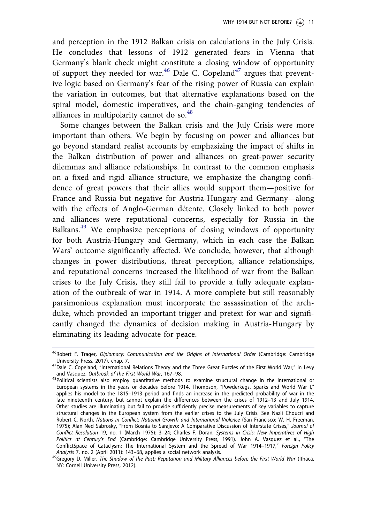and perception in the 1912 Balkan crisis on calculations in the July Crisis. He concludes that lessons of 1912 generated fears in Vienna that Germany's blank check might constitute a closing window of opportunity of support they needed for war.<sup>46</sup> Dale C. Copeland<sup>47</sup> argues that preventive logic based on Germany's fear of the rising power of Russia can explain the variation in outcomes, but that alternative explanations based on the spiral model, domestic imperatives, and the chain-ganging tendencies of alliances in multipolarity cannot do so. $48$ 

Some changes between the Balkan crisis and the July Crisis were more important than others. We begin by focusing on power and alliances but go beyond standard realist accounts by emphasizing the impact of shifts in the Balkan distribution of power and alliances on great-power security dilemmas and alliance relationships. In contrast to the common emphasis on a fixed and rigid alliance structure, we emphasize the changing confidence of great powers that their allies would support them—positive for France and Russia but negative for Austria-Hungary and Germany—along with the effects of Anglo-German détente. Closely linked to both power and alliances were reputational concerns, especially for Russia in the Balkans.<sup>49</sup> We emphasize perceptions of closing windows of opportunity for both Austria-Hungary and Germany, which in each case the Balkan Wars' outcome significantly affected. We conclude, however, that although changes in power distributions, threat perception, alliance relationships, and reputational concerns increased the likelihood of war from the Balkan crises to the July Crisis, they still fail to provide a fully adequate explanation of the outbreak of war in 1914. A more complete but still reasonably parsimonious explanation must incorporate the assassination of the archduke, which provided an important trigger and pretext for war and significantly changed the dynamics of decision making in Austria-Hungary by eliminating its leading advocate for peace.

<sup>&</sup>lt;sup>46</sup>Robert F. Trager, *Diplomacy: Communication and the Origins of International Order* (Cambridge: Cambridge University Press, 2017), chap. 7.

 $^{47}$ Dale C. Copeland, "International Relations Theory and the Three Great Puzzles of the First World War," in Levy and Vasquez, *Outbreak of the First World War*, 167–98.

<sup>48</sup>Political scientists also employ quantitative methods to examine structural change in the international or European systems in the years or decades before 1914. Thompson, "Powderkegs, Sparks and World War I," applies his model to the 1815–1913 period and finds an increase in the predicted probability of war in the late nineteenth century, but cannot explain the differences between the crises of 1912–13 and July 1914. Other studies are illuminating but fail to provide sufficiently precise measurements of key variables to capture structural changes in the European system from the earlier crises to the July Crisis. See Nazli Choucri and Robert C. North, *Nations in Conflict: National Growth and International Violence* (San Francisco: W. H. Freeman, 1975); Alan Ned Sabrosky, "From Bosnia to Sarajevo: A Comparative Discussion of Interstate Crises," *Journal of Conflict Resolution* 19, no. 1 (March 1975): 3–24; Charles F. Doran, *Systems in Crisis: New Imperatives of High Politics at Century*'*s End* (Cambridge: Cambridge University Press, 1991). John A. Vasquez et al., "The ConflictSpace of Cataclysm: The International System and the Spread of War 1914–1917," *Foreign Policy Analysis* 7, no. 2 (April 2011): 143–68, applies a social network analysis.

<sup>49</sup>Gregory D. Miller, *The Shadow of the Past: Reputation and Military Alliances before the First World War* (Ithaca, NY: Cornell University Press, 2012).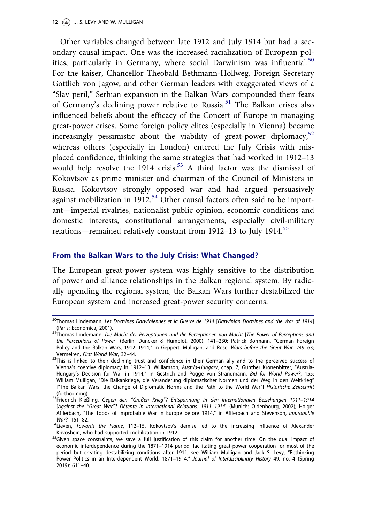12  $\left(\frac{1}{2}\right)$  J. S. LEVY AND W. MULLIGAN

Other variables changed between late 1912 and July 1914 but had a secondary causal impact. One was the increased racialization of European politics, particularly in Germany, where social Darwinism was influential.<sup>50</sup> For the kaiser, Chancellor Theobald Bethmann-Hollweg, Foreign Secretary Gottlieb von Jagow, and other German leaders with exaggerated views of a "Slav peril," Serbian expansion in the Balkan Wars compounded their fears of Germany's declining power relative to Russia.<sup>51</sup> The Balkan crises also influenced beliefs about the efficacy of the Concert of Europe in managing great-power crises. Some foreign policy elites (especially in Vienna) became increasingly pessimistic about the viability of great-power diplomacy, $52$ whereas others (especially in London) entered the July Crisis with misplaced confidence, thinking the same strategies that had worked in 1912–13 would help resolve the 1914 crisis.<sup>53</sup> A third factor was the dismissal of Kokovtsov as prime minister and chairman of the Council of Ministers in Russia. Kokovtsov strongly opposed war and had argued persuasively against mobilization in  $1912^{54}$  Other causal factors often said to be important—imperial rivalries, nationalist public opinion, economic conditions and domestic interests, constitutional arrangements, especially civil-military relations—remained relatively constant from  $1912-13$  to July 1914.<sup>55</sup>

### From the Balkan Wars to the July Crisis: What Changed?

The European great-power system was highly sensitive to the distribution of power and alliance relationships in the Balkan regional system. By radically upending the regional system, the Balkan Wars further destabilized the European system and increased great-power security concerns.

<sup>50</sup>Thomas Lindemann, *Les Doctrines Darwiniennes et la Guerre de 1914* [*Darwinian Doctrines and the War of 1914*] (Paris: Economica, 2001).

<sup>51</sup>Thomas Lindemann, *Die Macht der Perzeptionen und die Perzeptionen von Macht* [*The Power of Perceptions and the Perceptions of Power*] (Berlin: Duncker & Humblot, 2000), 141–230; Patrick Bormann, "German Foreign Policy and the Balkan Wars, 1912–1914," in Geppert, Mulligan, and Rose, *Wars before the Great War*, 249–63; Vermeiren, *First World War*, 32–44.

 $52$ This is linked to their declining trust and confidence in their German ally and to the perceived success of Vienna's coercive diplomacy in 1912–13. Williamson, Austria-Hungary, chap. 7; Günther Kronenbitter, "Austria-Hungary's Decision for War in 1914," in Gestrich and Pogge von Strandmann, *Bid for World Power?*, 155; William Mulligan, "Die Balkankriege, die Veränderung diplomatischer Normen und der Weg in den Weltkrieg" ["The Balkan Wars, the Change of Diplomatic Norms and the Path to the World War"] *Historische Zeitschrift* (forthcoming).

<sup>53</sup>Friedrich Kießling, *Gegen den* "*Großen Krieg*"*? Entspannung in den internationalen Beziehungen 1911*–*1914* [*Against the* "*Great War*"*? D*-*etente in International Relations, 1911*–*1914*] (Munich: Oldenbourg, 2002); Holger Afflerbach, "The Topos of Improbable War in Europe before 1914," in Afflerbach and Stevenson, *Improbable War?*, 161–82.

<sup>54</sup>Lieven, *Towards the Flame*, 112–15. Kokovtsov's demise led to the increasing influence of Alexander Krivoshein, who had supported mobilization in 1912.

<sup>55</sup>Given space constraints, we save a full justification of this claim for another time. On the dual impact of economic interdependence during the 1871–1914 period, facilitating great-power cooperation for most of the period but creating destabilizing conditions after 1911, see William Mulligan and Jack S. Levy, "Rethinking Power Politics in an Interdependent World, 1871–1914," *Journal of Interdisciplinary History* 49, no. 4 (Spring 2019): 611–40.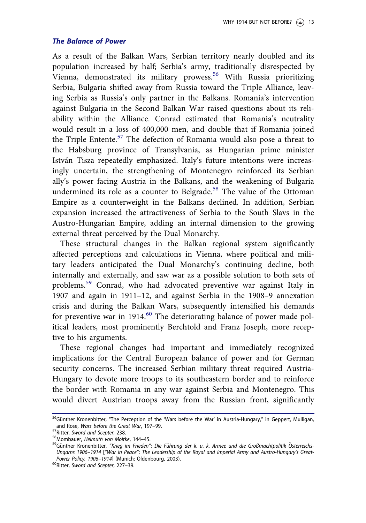#### The Balance of Power

As a result of the Balkan Wars, Serbian territory nearly doubled and its population increased by half; Serbia's army, traditionally disrespected by Vienna, demonstrated its military prowess.<sup>56</sup> With Russia prioritizing Serbia, Bulgaria shifted away from Russia toward the Triple Alliance, leaving Serbia as Russia's only partner in the Balkans. Romania's intervention against Bulgaria in the Second Balkan War raised questions about its reliability within the Alliance. Conrad estimated that Romania's neutrality would result in a loss of 400,000 men, and double that if Romania joined the Triple Entente.<sup>57</sup> The defection of Romania would also pose a threat to the Habsburg province of Transylvania, as Hungarian prime minister István Tisza repeatedly emphasized. Italy's future intentions were increasingly uncertain, the strengthening of Montenegro reinforced its Serbian ally's power facing Austria in the Balkans, and the weakening of Bulgaria undermined its role as a counter to Belgrade.<sup>58</sup> The value of the Ottoman Empire as a counterweight in the Balkans declined. In addition, Serbian expansion increased the attractiveness of Serbia to the South Slavs in the Austro-Hungarian Empire, adding an internal dimension to the growing external threat perceived by the Dual Monarchy.

These structural changes in the Balkan regional system significantly affected perceptions and calculations in Vienna, where political and military leaders anticipated the Dual Monarchy's continuing decline, both internally and externally, and saw war as a possible solution to both sets of problems.<sup>59</sup> Conrad, who had advocated preventive war against Italy in 1907 and again in 1911–12, and against Serbia in the 1908–9 annexation crisis and during the Balkan Wars, subsequently intensified his demands for preventive war in  $1914$ .<sup>60</sup> The deteriorating balance of power made political leaders, most prominently Berchtold and Franz Joseph, more receptive to his arguments.

These regional changes had important and immediately recognized implications for the Central European balance of power and for German security concerns. The increased Serbian military threat required Austria-Hungary to devote more troops to its southeastern border and to reinforce the border with Romania in any war against Serbia and Montenegro. This would divert Austrian troops away from the Russian front, significantly

<sup>&</sup>lt;sup>56</sup>Günther Kronenbitter, "The Perception of the 'Wars before the War' in Austria-Hungary," in Geppert, Mulligan, and Rose, *Wars before the Great War*, 197–99.

<sup>57</sup>Ritter, *Sword and Scepter*, 238.

<sup>58</sup>Mombauer, *Helmuth von Moltke*, 144–45.

<sup>&</sup>lt;sup>59</sup>Günther Kronenbitter, "Krieg im Frieden": Die Führung der k. u. k. Armee und die Großmachtpolitik Österreichs-*Ungarns 1906*–*1914* ["*War in Peace*"*: The Leadership of the Royal and Imperial Army and Austro-Hungary*'*s Great-Power Policy, 1906*–*1914*] (Munich: Oldenbourg, 2003).

<sup>60</sup>Ritter, *Sword and Scepter*, 227–39.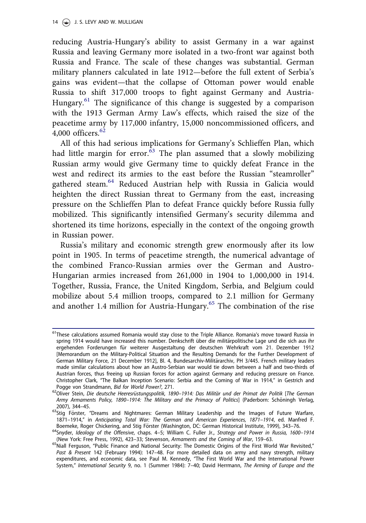reducing Austria-Hungary's ability to assist Germany in a war against Russia and leaving Germany more isolated in a two-front war against both Russia and France. The scale of these changes was substantial. German military planners calculated in late 1912—before the full extent of Serbia's gains was evident—that the collapse of Ottoman power would enable Russia to shift 317,000 troops to fight against Germany and Austria-Hungary.<sup>61</sup> The significance of this change is suggested by a comparison with the 1913 German Army Law's effects, which raised the size of the peacetime army by 117,000 infantry, 15,000 noncommissioned officers, and 4,000 officers. $62$ 

All of this had serious implications for Germany's Schlieffen Plan, which had little margin for error. $\frac{63}{10}$  The plan assumed that a slowly mobilizing Russian army would give Germany time to quickly defeat France in the west and redirect its armies to the east before the Russian "steamroller" gathered steam.<sup>64</sup> Reduced Austrian help with Russia in Galicia would heighten the direct Russian threat to Germany from the east, increasing pressure on the Schlieffen Plan to defeat France quickly before Russia fully mobilized. This significantly intensified Germany's security dilemma and shortened its time horizons, especially in the context of the ongoing growth in Russian power.

Russia's military and economic strength grew enormously after its low point in 1905. In terms of peacetime strength, the numerical advantage of the combined Franco-Russian armies over the German and Austro-Hungarian armies increased from 261,000 in 1904 to 1,000,000 in 1914. Together, Russia, France, the United Kingdom, Serbia, and Belgium could mobilize about 5.4 million troops, compared to 2.1 million for Germany and another 1.4 million for Austria-Hungary.<sup>65</sup> The combination of the rise

<sup>&</sup>lt;sup>61</sup>These calculations assumed Romania would stay close to the Triple Alliance. Romania's move toward Russia in spring 1914 would have increased this number. Denkschrift über die militärpolitische Lage und die sich aus ihr ergehenden Forderungen für weiterer Ausgestaltung der deutschen Wehrkraft vom 21. Dezember 1912 [Memorandum on the Military-Political Situation and the Resulting Demands for the Further Development of German Military Force, 21 December 1912], Bl. 4, Bundesarchiv-Militärarchiv, PH 3/445. French military leaders made similar calculations about how an Austro-Serbian war would tie down between a half and two-thirds of Austrian forces, thus freeing up Russian forces for action against Germany and reducing pressure on France. Christopher Clark, "The Balkan Inception Scenario: Serbia and the Coming of War in 1914," in Gestrich and Pogge von Strandmann, *Bid for World Power?*, 271.

<sup>62</sup>Oliver Stein, *Die deutsche Heeresr*€*ustungspolitik, 1890*–*1914: Das Milit*€*ar und der Primat der Politik* [*The German Army Armaments Policy, 1890*–*1914: The Military and the Primacy of Politics*] (Paderborn: Sch€oningh Verlag, 2007), 344–45.

<sup>&</sup>lt;sup>63</sup>Stig Förster, "Dreams and Nightmares: German Military Leadership and the Images of Future Warfare, 1871–1914," in *Anticipating Total War: The German and American Experiences, 1871*–*1914*, ed. Manfred F. Boemeke, Roger Chickering, and Stig Förster (Washington, DC: German Historical Institute, 1999), 343-76.

<sup>64</sup>Snyder, *Ideology of the Offensive*, chaps. 4–5; William C. Fuller Jr., *Strategy and Power in Russia, 1600*–*1914* (New York: Free Press, 1992), 423–33; Stevenson, *Armaments and the Coming of War*, 159–63.

<sup>65</sup>Niall Ferguson, "Public Finance and National Security: The Domestic Origins of the First World War Revisited," *Past & Present* 142 (February 1994): 147–48. For more detailed data on army and navy strength, military expenditures, and economic data, see Paul M. Kennedy, "The First World War and the International Power System," *International Security* 9, no. 1 (Summer 1984): 7–40; David Herrmann, *The Arming of Europe and the*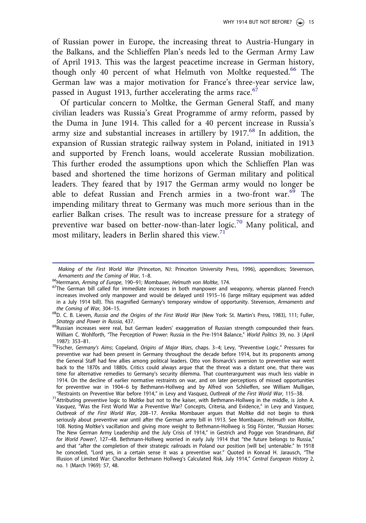of Russian power in Europe, the increasing threat to Austria-Hungary in the Balkans, and the Schlieffen Plan's needs led to the German Army Law of April 1913. This was the largest peacetime increase in German history, though only 40 percent of what Helmuth von Moltke requested.<sup>66</sup> The German law was a major motivation for France's three-year service law, passed in August 1913, further accelerating the arms race. $67$ 

Of particular concern to Moltke, the German General Staff, and many civilian leaders was Russia's Great Programme of army reform, passed by the Duma in June 1914. This called for a 40 percent increase in Russia's army size and substantial increases in artillery by 1917.<sup>68</sup> In addition, the expansion of Russian strategic railway system in Poland, initiated in 1913 and supported by French loans, would accelerate Russian mobilization. This further eroded the assumptions upon which the Schlieffen Plan was based and shortened the time horizons of German military and political leaders. They feared that by 1917 the German army would no longer be able to defeat Russian and French armies in a two-front war.<sup>69</sup> The impending military threat to Germany was much more serious than in the earlier Balkan crises. The result was to increase pressure for a strategy of preventive war based on better-now-than-later logic.<sup>70</sup> Many political, and most military, leaders in Berlin shared this view. $71$ 

*<sup>65</sup> Making of the First World War* (Princeton, NJ: Princeton University Press, 1996), appendices; Stevenson, *Armaments and the Coming of War*, 1–8.

<sup>66</sup>Herrmann, *Arming of Europe*, 190–91; Mombauer, *Helmuth von Moltke*, 174.

<sup>&</sup>lt;sup>67</sup>The German bill called for immediate increases in both manpower and weaponry, whereas planned French increases involved only manpower and would be delayed until 1915–16 (large military equipment was added in a July 1914 bill). This magnified Germany's temporary window of opportunity. Stevenson, *Armaments and the Coming of War*, 304–15.

<sup>68</sup>D. C. B. Lieven, *Russia and the Origins of the First World War* (New York: St. Martin's Press, 1983), 111; Fuller, *Strategy and Power in Russia*, 437.

<sup>&</sup>lt;sup>69</sup>Russian increases were real, but German leaders' exaggeration of Russian strength compounded their fears. William C. Wohlforth, "The Perception of Power: Russia in the Pre-1914 Balance," *World Politics* 39, no. 3 (April 1987): 353–81.

<sup>70</sup>Fischer, *Germany*'*s Aims*; Copeland, *Origins of Major Wars*, chaps. 3–4; Levy, "Preventive Logic." Pressures for preventive war had been present in Germany throughout the decade before 1914, but its proponents among the General Staff had few allies among political leaders. Otto von Bismarck's aversion to preventive war went back to the 1870s and 1880s. Critics could always argue that the threat was a distant one, that there was time for alternative remedies to Germany's security dilemma. That counterargument was much less viable in 1914. On the decline of earlier normative restraints on war, and on later perceptions of missed opportunities for preventive war in 1904–6 by Bethmann-Hollweg and by Alfred von Schlieffen, see William Mulligan, "Restraints on Preventive War before 1914," in Levy and Vasquez, *Outbreak of the First World War*, 115–38.

<sup>71</sup>Attributing preventive logic to Moltke but not to the kaiser, with Bethmann-Hollweg in the middle, is John A. Vasquez, "Was the First World War a Preventive War? Concepts, Criteria, and Evidence," in Levy and Vasquez, *Outbreak of the First World War*, 208–17. Annika Mombauer argues that Moltke did not begin to think seriously about preventive war until after the German army bill in 1913. See Mombauer, *Helmuth von Moltke*, 108. Noting Moltke's vacillation and giving more weight to Bethmann-Hollweg is Stig Förster, "Russian Horses: The New German Army Leadership and the July Crisis of 1914," in Gestrich and Pogge von Strandmann, *Bid for World Power?*, 127–48. Bethmann-Hollweg worried in early July 1914 that "the future belongs to Russia," and that "after the completion of their strategic railroads in Poland our position [will be] untenable." In 1918 he conceded, "Lord yes, in a certain sense it was a preventive war." Quoted in Konrad H. Jarausch, "The Illusion of Limited War: Chancellor Bethmann Hollweg's Calculated Risk, July 1914," *Central European History* 2, no. 1 (March 1969): 57, 48.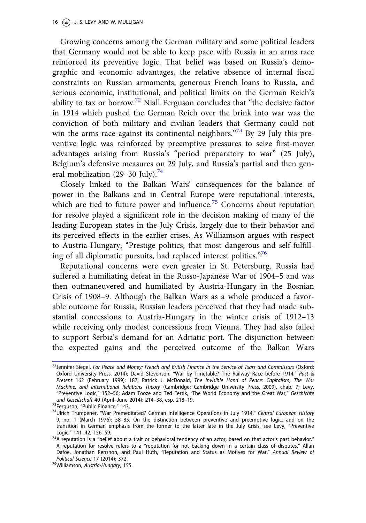Growing concerns among the German military and some political leaders that Germany would not be able to keep pace with Russia in an arms race reinforced its preventive logic. That belief was based on Russia's demographic and economic advantages, the relative absence of internal fiscal constraints on Russian armaments, generous French loans to Russia, and serious economic, institutional, and political limits on the German Reich's ability to tax or borrow.<sup>72</sup> Niall Ferguson concludes that "the decisive factor" in 1914 which pushed the German Reich over the brink into war was the conviction of both military and civilian leaders that Germany could not win the arms race against its continental neighbors."<sup>73</sup> By 29 July this preventive logic was reinforced by preemptive pressures to seize first-mover advantages arising from Russia's "period preparatory to war" (25 July), Belgium's defensive measures on 29 July, and Russia's partial and then general mobilization (29–30 July).<sup>74</sup>

Closely linked to the Balkan Wars' consequences for the balance of power in the Balkans and in Central Europe were reputational interests, which are tied to future power and influence.<sup>75</sup> Concerns about reputation for resolve played a significant role in the decision making of many of the leading European states in the July Crisis, largely due to their behavior and its perceived effects in the earlier crises. As Williamson argues with respect to Austria-Hungary, "Prestige politics, that most dangerous and self-fulfilling of all diplomatic pursuits, had replaced interest politics." 76

Reputational concerns were even greater in St. Petersburg. Russia had suffered a humiliating defeat in the Russo-Japanese War of 1904–5 and was then outmaneuvered and humiliated by Austria-Hungary in the Bosnian Crisis of 1908–9. Although the Balkan Wars as a whole produced a favorable outcome for Russia, Russian leaders perceived that they had made substantial concessions to Austria-Hungary in the winter crisis of 1912–13 while receiving only modest concessions from Vienna. They had also failed to support Serbia's demand for an Adriatic port. The disjunction between the expected gains and the perceived outcome of the Balkan Wars

<sup>72</sup>Jennifer Siegel, *For Peace and Money: French and British Finance in the Service of Tsars and Commissars* (Oxford: Oxford University Press, 2014); David Stevenson, "War by Timetable? The Railway Race before 1914," *Past & Present* 162 (February 1999): 187; Patrick J. McDonald, *The Invisible Hand of Peace: Capitalism, The War Machine, and International Relations Theory* (Cambridge: Cambridge University Press, 2009), chap. 7; Levy, "Preventive Logic," 152–56; Adam Tooze and Ted Fertik, "The World Economy and the Great War," *Geschichte und Gesellschaft* 40 (April–June 2014): 214–38, esp. 218–19.

<sup>&</sup>lt;sup>73</sup>Ferguson, "Public Finance," 143.

<sup>74</sup>Ulrich Trumpener, "War Premeditated? German Intelligence Operations in July 1914," *Central European History* 9, no. 1 (March 1976): 58–85. On the distinction between preventive and preemptive logic, and on the transition in German emphasis from the former to the latter late in the July Crisis, see Levy, "Preventive Logic," 141–42, 156–59.

 $75A$  reputation is a "belief about a trait or behavioral tendency of an actor, based on that actor's past behavior." A reputation for resolve refers to a "reputation for not backing down in a certain class of disputes." Allan Dafoe, Jonathan Renshon, and Paul Huth, "Reputation and Status as Motives for War," *Annual Review of Political Science* 17 (2014): 372.

<sup>76</sup>Williamson, *Austria-Hungary*, 155.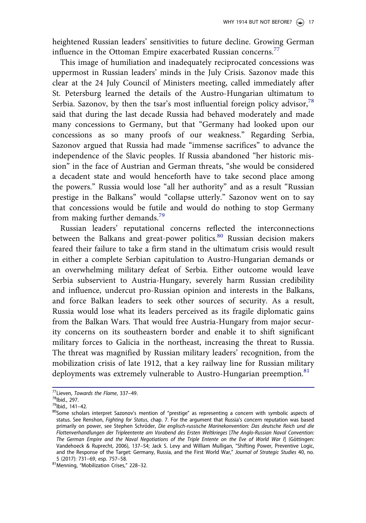heightened Russian leaders' sensitivities to future decline. Growing German influence in the Ottoman Empire exacerbated Russian concerns.<sup>77</sup>

This image of humiliation and inadequately reciprocated concessions was uppermost in Russian leaders' minds in the July Crisis. Sazonov made this clear at the 24 July Council of Ministers meeting, called immediately after St. Petersburg learned the details of the Austro-Hungarian ultimatum to Serbia. Sazonov, by then the tsar's most influential foreign policy advisor,<sup>78</sup> said that during the last decade Russia had behaved moderately and made many concessions to Germany, but that "Germany had looked upon our concessions as so many proofs of our weakness." Regarding Serbia, Sazonov argued that Russia had made "immense sacrifices" to advance the independence of the Slavic peoples. If Russia abandoned "her historic mission" in the face of Austrian and German threats, "she would be considered a decadent state and would henceforth have to take second place among the powers." Russia would lose "all her authority" and as a result "Russian prestige in the Balkans" would "collapse utterly." Sazonov went on to say that concessions would be futile and would do nothing to stop Germany from making further demands.<sup>79</sup>

Russian leaders' reputational concerns reflected the interconnections between the Balkans and great-power politics.<sup>80</sup> Russian decision makers feared their failure to take a firm stand in the ultimatum crisis would result in either a complete Serbian capitulation to Austro-Hungarian demands or an overwhelming military defeat of Serbia. Either outcome would leave Serbia subservient to Austria-Hungary, severely harm Russian credibility and influence, undercut pro-Russian opinion and interests in the Balkans, and force Balkan leaders to seek other sources of security. As a result, Russia would lose what its leaders perceived as its fragile diplomatic gains from the Balkan Wars. That would free Austria-Hungary from major security concerns on its southeastern border and enable it to shift significant military forces to Galicia in the northeast, increasing the threat to Russia. The threat was magnified by Russian military leaders' recognition, from the mobilization crisis of late 1912, that a key railway line for Russian military deployments was extremely vulnerable to Austro-Hungarian preemption.<sup>81</sup>

<sup>77</sup>Lieven, *Towards the Flame*, 337–49.

<sup>&</sup>lt;sup>78</sup>lbid., 297.

<sup>79</sup>Ibid., 141–42.

<sup>80</sup>Some scholars interpret Sazonov's mention of "prestige" as representing a concern with symbolic aspects of status. See Renshon, *Fighting for Status*, chap. 7. For the argument that Russia's concern reputation was based primarily on power, see Stephen Schröder, *Die englisch-russische Marinekonvention: Das deutsche Reich und die Flottenverhandlungen der Tripleentente am Vorabend des Ersten Weltkrieges* [*The Anglo-Russian Naval Convention:* The German Empire and the Naval Negotiations of the Triple Entente on the Eve of World War I] (Göttingen: Vandehoeck & Ruprecht, 2006), 137–54; Jack S. Levy and William Mulligan, "Shifting Power, Preventive Logic, and the Response of the Target: Germany, Russia, and the First World War," *Journal of Strategic Studies* 40, no. 5 (2017): 731–69, esp. 757–58.

<sup>81</sup>Menning, "Mobilization Crises," 228–32.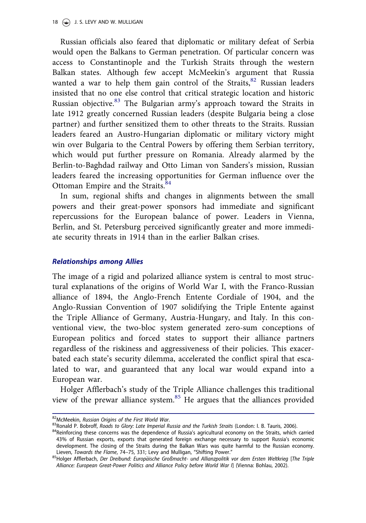Russian officials also feared that diplomatic or military defeat of Serbia would open the Balkans to German penetration. Of particular concern was access to Constantinople and the Turkish Straits through the western Balkan states. Although few accept McMeekin's argument that Russia wanted a war to help them gain control of the Straits,<sup>82</sup> Russian leaders insisted that no one else control that critical strategic location and historic Russian objective.<sup>83</sup> The Bulgarian army's approach toward the Straits in late 1912 greatly concerned Russian leaders (despite Bulgaria being a close partner) and further sensitized them to other threats to the Straits. Russian leaders feared an Austro-Hungarian diplomatic or military victory might win over Bulgaria to the Central Powers by offering them Serbian territory, which would put further pressure on Romania. Already alarmed by the Berlin-to-Baghdad railway and Otto Liman von Sanders's mission, Russian leaders feared the increasing opportunities for German influence over the Ottoman Empire and the Straits.<sup>84</sup>

In sum, regional shifts and changes in alignments between the small powers and their great-power sponsors had immediate and significant repercussions for the European balance of power. Leaders in Vienna, Berlin, and St. Petersburg perceived significantly greater and more immediate security threats in 1914 than in the earlier Balkan crises.

## Relationships among Allies

The image of a rigid and polarized alliance system is central to most structural explanations of the origins of World War I, with the Franco-Russian alliance of 1894, the Anglo-French Entente Cordiale of 1904, and the Anglo-Russian Convention of 1907 solidifying the Triple Entente against the Triple Alliance of Germany, Austria-Hungary, and Italy. In this conventional view, the two-bloc system generated zero-sum conceptions of European politics and forced states to support their alliance partners regardless of the riskiness and aggressiveness of their policies. This exacerbated each state's security dilemma, accelerated the conflict spiral that escalated to war, and guaranteed that any local war would expand into a European war.

Holger Afflerbach's study of the Triple Alliance challenges this traditional view of the prewar alliance system.<sup>85</sup> He argues that the alliances provided

<sup>82</sup>McMeekin, *Russian Origins of the First World War*.

<sup>83</sup>Ronald P. Bobroff, *Roads to Glory: Late Imperial Russia and the Turkish Straits* (London: I. B. Tauris, 2006).

<sup>84</sup>Reinforcing these concerns was the dependence of Russia's agricultural economy on the Straits, which carried 43% of Russian exports, exports that generated foreign exchange necessary to support Russia's economic development. The closing of the Straits during the Balkan Wars was quite harmful to the Russian economy. Lieven, *Towards the Flame*, 74–75, 331; Levy and Mulligan, "Shifting Power."

<sup>85</sup>Holger Afflerbach, Der Dreibund: Europäische Großmacht- und Allianzpolitik vor dem Ersten Weltkrieg [The Triple *Alliance: European Great-Power Politics and Alliance Policy before World War I*] (Vienna: Bohlau, 2002).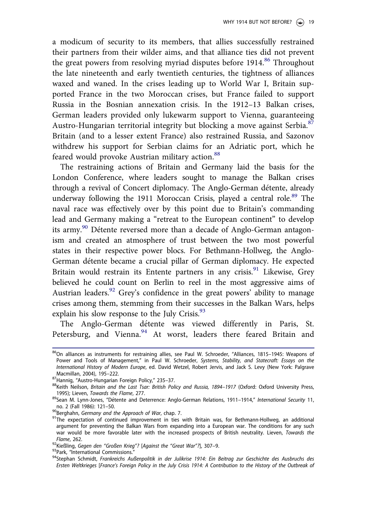a modicum of security to its members, that allies successfully restrained their partners from their wilder aims, and that alliance ties did not prevent the great powers from resolving myriad disputes before  $1914$ <sup>86</sup> Throughout the late nineteenth and early twentieth centuries, the tightness of alliances waxed and waned. In the crises leading up to World War I, Britain supported France in the two Moroccan crises, but France failed to support Russia in the Bosnian annexation crisis. In the 1912–13 Balkan crises, German leaders provided only lukewarm support to Vienna, guaranteeing Austro-Hungarian territorial integrity but blocking a move against Serbia.<sup>87</sup> Britain (and to a lesser extent France) also restrained Russia, and Sazonov withdrew his support for Serbian claims for an Adriatic port, which he feared would provoke Austrian military action.<sup>88</sup>

The restraining actions of Britain and Germany laid the basis for the London Conference, where leaders sought to manage the Balkan crises through a revival of Concert diplomacy. The Anglo-German détente, already underway following the 1911 Moroccan Crisis, played a central role.<sup>89</sup> The naval race was effectively over by this point due to Britain's commanding lead and Germany making a "retreat to the European continent" to develop its army.<sup>90</sup> Détente reversed more than a decade of Anglo-German antagonism and created an atmosphere of trust between the two most powerful states in their respective power blocs. For Bethmann-Hollweg, the Anglo-German détente became a crucial pillar of German diplomacy. He expected Britain would restrain its Entente partners in any crisis.<sup>91</sup> Likewise, Grey believed he could count on Berlin to reel in the most aggressive aims of Austrian leaders.<sup>92</sup> Grey's confidence in the great powers' ability to manage crises among them, stemming from their successes in the Balkan Wars, helps explain his slow response to the July Crisis.<sup>93</sup>

The Anglo-German détente was viewed differently in Paris, St. Petersburg, and Vienna.<sup>94</sup> At worst, leaders there feared Britain and

<sup>&</sup>lt;sup>86</sup>On alliances as instruments for restraining allies, see Paul W. Schroeder, "Alliances, 1815–1945: Weapons of Power and Tools of Management," in Paul W. Schroeder, *Systems, Stability, and Statecraft: Essays on the International History of Modern Europe*, ed. David Wetzel, Robert Jervis, and Jack S. Levy (New York: Palgrave Macmillan, 2004), 195–222.

<sup>87</sup>Hannig, "Austro-Hungarian Foreign Policy," 235–37.

<sup>88</sup>Keith Neilson, Britain and the Last Tsar: British Policy and Russia, 1894–1917 (Oxford: Oxford University Press, 1995); Lieven, *Towards the Flame*, 277.

<sup>89</sup>Sean M. Lynn-Jones, "Détente and Deterrence: Anglo-German Relations, 1911–1914," International Security 11, no. 2 (Fall 1986): 121–50.

<sup>90</sup>Berghahn, *Germany and the Approach of War*, chap. 7.

<sup>&</sup>lt;sup>91</sup>The expectation of continued improvement in ties with Britain was, for Bethmann-Hollweg, an additional argument for preventing the Balkan Wars from expanding into a European war. The conditions for any such war would be more favorable later with the increased prospects of British neutrality. Lieven, *Towards the Flame*, 262.

<sup>92</sup>Kießling, *Gegen den* "*Großen Krieg*"*?* [*Against the* "*Great War*"*?*], 307–9.

<sup>93</sup> Park, "International Commissions."

<sup>94</sup>Stephan Schmidt, *Frankreichs Außenpolitik in der Julikrise 1914: Ein Beitrag zur Geschichte des Ausbruchs des Ersten Weltkrieges* [*France*'*s Foreign Policy in the July Crisis 1914: A Contribution to the History of the Outbreak of*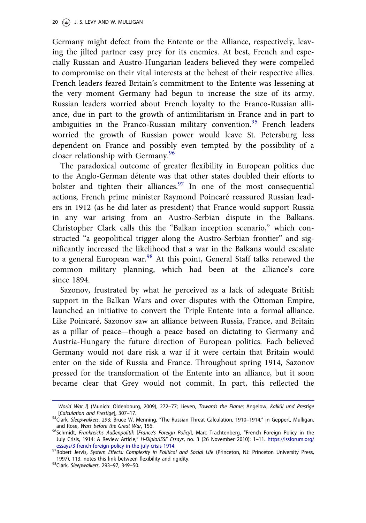Germany might defect from the Entente or the Alliance, respectively, leaving the jilted partner easy prey for its enemies. At best, French and especially Russian and Austro-Hungarian leaders believed they were compelled to compromise on their vital interests at the behest of their respective allies. French leaders feared Britain's commitment to the Entente was lessening at the very moment Germany had begun to increase the size of its army. Russian leaders worried about French loyalty to the Franco-Russian alliance, due in part to the growth of antimilitarism in France and in part to ambiguities in the Franco-Russian military convention.<sup>95</sup> French leaders worried the growth of Russian power would leave St. Petersburg less dependent on France and possibly even tempted by the possibility of a closer relationship with Germany.<sup>96</sup>

The paradoxical outcome of greater flexibility in European politics due to the Anglo-German détente was that other states doubled their efforts to bolster and tighten their alliances.  $97$  In one of the most consequential actions, French prime minister Raymond Poincaré reassured Russian leaders in 1912 (as he did later as president) that France would support Russia in any war arising from an Austro-Serbian dispute in the Balkans. Christopher Clark calls this the "Balkan inception scenario," which constructed "a geopolitical trigger along the Austro-Serbian frontier" and significantly increased the likelihood that a war in the Balkans would escalate to a general European war.<sup>98</sup> At this point, General Staff talks renewed the common military planning, which had been at the alliance's core since 1894.

Sazonov, frustrated by what he perceived as a lack of adequate British support in the Balkan Wars and over disputes with the Ottoman Empire, launched an initiative to convert the Triple Entente into a formal alliance. Like Poincaré, Sazonov saw an alliance between Russia, France, and Britain as a pillar of peace—though a peace based on dictating to Germany and Austria-Hungary the future direction of European politics. Each believed Germany would not dare risk a war if it were certain that Britain would enter on the side of Russia and France. Throughout spring 1914, Sazonov pressed for the transformation of the Entente into an alliance, but it soon became clear that Grey would not commit. In part, this reflected the

*<sup>94</sup> World War I*] (Munich: Oldenbourg, 2009), 272–77; Lieven, *Towards the Flame*; Angelow, *Kalk*€*ul und Prestige* [*Calculation and Prestige*], 307–17.

<sup>95</sup>Clark, *Sleepwalkers*, 293; Bruce W. Menning, "The Russian Threat Calculation, 1910–1914," in Geppert, Mulligan, and Rose, *Wars before the Great War*, 156.

<sup>96</sup>Schmidt, *Frankreichs Außenpolitik* [*France*'*s Foreign Policy*], Marc Trachtenberg, "French Foreign Policy in the July Crisis, 1914: A Review Article," *H-Diplo/ISSF Essays*, no. 3 (26 November 2010): 1–11. https://issforum.org/ essays/3-french-foreign-policy-in-the-july-crisis-1914.

<sup>97</sup>Robert Jervis, *System Effects: Complexity in Political and Social Life* (Princeton, NJ: Princeton University Press, 1997), 113, notes this link between flexibility and rigidity.

<sup>98</sup>Clark, *Sleepwalkers*, 293–97, 349–50.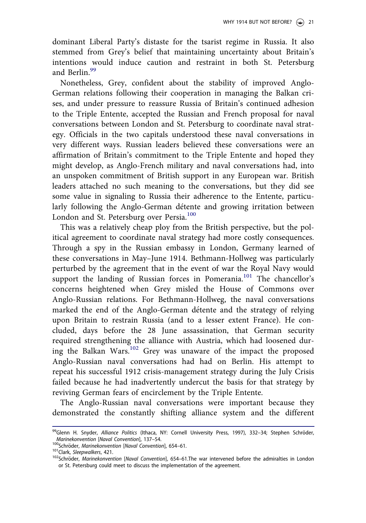dominant Liberal Party's distaste for the tsarist regime in Russia. It also stemmed from Grey's belief that maintaining uncertainty about Britain's intentions would induce caution and restraint in both St. Petersburg and Berlin.<sup>99</sup>

Nonetheless, Grey, confident about the stability of improved Anglo-German relations following their cooperation in managing the Balkan crises, and under pressure to reassure Russia of Britain's continued adhesion to the Triple Entente, accepted the Russian and French proposal for naval conversations between London and St. Petersburg to coordinate naval strategy. Officials in the two capitals understood these naval conversations in very different ways. Russian leaders believed these conversations were an affirmation of Britain's commitment to the Triple Entente and hoped they might develop, as Anglo-French military and naval conversations had, into an unspoken commitment of British support in any European war. British leaders attached no such meaning to the conversations, but they did see some value in signaling to Russia their adherence to the Entente, particularly following the Anglo-German détente and growing irritation between London and St. Petersburg over Persia.<sup>100</sup>

This was a relatively cheap ploy from the British perspective, but the political agreement to coordinate naval strategy had more costly consequences. Through a spy in the Russian embassy in London, Germany learned of these conversations in May–June 1914. Bethmann-Hollweg was particularly perturbed by the agreement that in the event of war the Royal Navy would support the landing of Russian forces in Pomerania.<sup>101</sup> The chancellor's concerns heightened when Grey misled the House of Commons over Anglo-Russian relations. For Bethmann-Hollweg, the naval conversations marked the end of the Anglo-German détente and the strategy of relying upon Britain to restrain Russia (and to a lesser extent France). He concluded, days before the 28 June assassination, that German security required strengthening the alliance with Austria, which had loosened during the Balkan Wars. $102$  Grey was unaware of the impact the proposed Anglo-Russian naval conversations had had on Berlin. His attempt to repeat his successful 1912 crisis-management strategy during the July Crisis failed because he had inadvertently undercut the basis for that strategy by reviving German fears of encirclement by the Triple Entente.

The Anglo-Russian naval conversations were important because they demonstrated the constantly shifting alliance system and the different

<sup>&</sup>lt;sup>99</sup>Glenn H. Snyder, *Alliance Politics* (Ithaca, NY: Cornell University Press, 1997), 332–34; Stephen Schröder, *Marinekonvention* [*Naval Convention*], 137–54.

<sup>100</sup>Schroder, € *Marinekonvention* [*Naval Convention*], 654–61.

<sup>101</sup>Clark, *Sleepwalkers*, 421.

<sup>&</sup>lt;sup>102</sup>Schröder, *Marinekonvention* [*Naval Convention*], 654–61.The war intervened before the admiralties in London or St. Petersburg could meet to discuss the implementation of the agreement.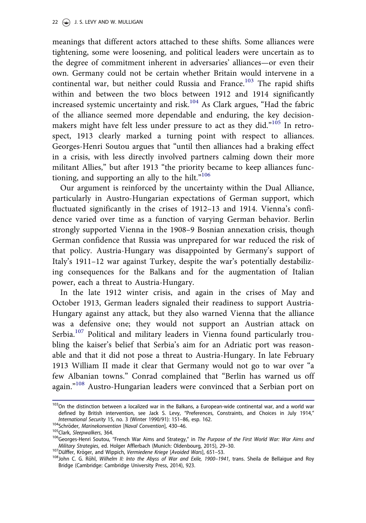meanings that different actors attached to these shifts. Some alliances were tightening, some were loosening, and political leaders were uncertain as to the degree of commitment inherent in adversaries' alliances—or even their own. Germany could not be certain whether Britain would intervene in a continental war, but neither could Russia and France.<sup>103</sup> The rapid shifts within and between the two blocs between 1912 and 1914 significantly increased systemic uncertainty and risk.<sup>104</sup> As Clark argues, "Had the fabric of the alliance seemed more dependable and enduring, the key decisionmakers might have felt less under pressure to act as they did."<sup>105</sup> In retrospect, 1913 clearly marked a turning point with respect to alliances. Georges-Henri Soutou argues that "until then alliances had a braking effect in a crisis, with less directly involved partners calming down their more militant Allies," but after 1913 "the priority became to keep alliances functioning, and supporting an ally to the hilt."<sup>106</sup>

Our argument is reinforced by the uncertainty within the Dual Alliance, particularly in Austro-Hungarian expectations of German support, which fluctuated significantly in the crises of 1912–13 and 1914. Vienna's confidence varied over time as a function of varying German behavior. Berlin strongly supported Vienna in the 1908–9 Bosnian annexation crisis, though German confidence that Russia was unprepared for war reduced the risk of that policy. Austria-Hungary was disappointed by Germany's support of Italy's 1911–12 war against Turkey, despite the war's potentially destabilizing consequences for the Balkans and for the augmentation of Italian power, each a threat to Austria-Hungary.

In the late 1912 winter crisis, and again in the crises of May and October 1913, German leaders signaled their readiness to support Austria-Hungary against any attack, but they also warned Vienna that the alliance was a defensive one; they would not support an Austrian attack on Serbia.<sup>107</sup> Political and military leaders in Vienna found particularly troubling the kaiser's belief that Serbia's aim for an Adriatic port was reasonable and that it did not pose a threat to Austria-Hungary. In late February 1913 William II made it clear that Germany would not go to war over "a few Albanian towns." Conrad complained that "Berlin has warned us off again."<sup>108</sup> Austro-Hungarian leaders were convinced that a Serbian port on

<sup>103</sup>On the distinction between a localized war in the Balkans, a European-wide continental war, and a world war defined by British intervention, see Jack S. Levy, "Preferences, Constraints, and Choices in July 1914," *International Security* 15, no. 3 (Winter 1990/91): 151–86, esp. 162.

<sup>&</sup>lt;sup>104</sup>Schröder, Marinekonvention [Naval Convention], 430-46.

<sup>105</sup>Clark, *Sleepwalkers*, 364.

<sup>106</sup>Georges-Henri Soutou, "French War Aims and Strategy," in *The Purpose of the First World War: War Aims and Military Strategies*, ed. Holger Afflerbach (Munich: Oldenbourg, 2015), 29–30.

<sup>107</sup> Dülffer, Kröger, and Wippich, Vermiedene Kriege [Avoided Wars], 651–53.

<sup>108</sup>John C. G. R€ohl, *Wilhelm II: Into the Abyss of War and Exile, 1900*–*1941*, trans. Sheila de Bellaigue and Roy Bridge (Cambridge: Cambridge University Press, 2014), 923.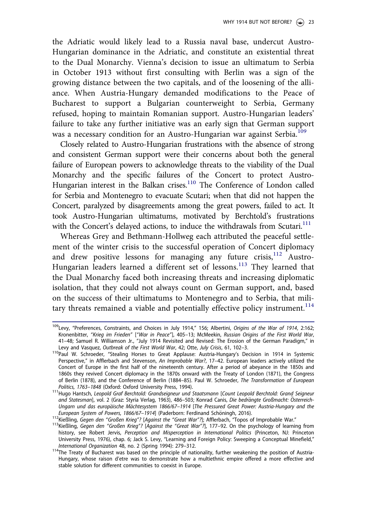the Adriatic would likely lead to a Russia naval base, undercut Austro-Hungarian dominance in the Adriatic, and constitute an existential threat to the Dual Monarchy. Vienna's decision to issue an ultimatum to Serbia in October 1913 without first consulting with Berlin was a sign of the growing distance between the two capitals, and of the loosening of the alliance. When Austria-Hungary demanded modifications to the Peace of Bucharest to support a Bulgarian counterweight to Serbia, Germany refused, hoping to maintain Romanian support. Austro-Hungarian leaders' failure to take any further initiative was an early sign that German support was a necessary condition for an Austro-Hungarian war against Serbia.<sup>109</sup>

Closely related to Austro-Hungarian frustrations with the absence of strong and consistent German support were their concerns about both the general failure of European powers to acknowledge threats to the viability of the Dual Monarchy and the specific failures of the Concert to protect Austro-Hungarian interest in the Balkan crises.<sup>110</sup> The Conference of London called for Serbia and Montenegro to evacuate Scutari; when that did not happen the Concert, paralyzed by disagreements among the great powers, failed to act. It took Austro-Hungarian ultimatums, motivated by Berchtold's frustrations with the Concert's delayed actions, to induce the withdrawals from Scutari.<sup>111</sup>

Whereas Grey and Bethmann-Hollweg each attributed the peaceful settlement of the winter crisis to the successful operation of Concert diplomacy and drew positive lessons for managing any future crisis,  $12$  Austro-Hungarian leaders learned a different set of lessons.<sup>113</sup> They learned that the Dual Monarchy faced both increasing threats and increasing diplomatic isolation, that they could not always count on German support, and, based on the success of their ultimatums to Montenegro and to Serbia, that military threats remained a viable and potentially effective policy instrument.<sup>114</sup>

<sup>109</sup>Levy, "Preferences, Constraints, and Choices in July 1914," 156; Albertini, *Origins of the War of 1914*, 2:162; Kronenbitter, "*Krieg im Frieden*" ["*War in Peace*"], 405–13; McMeekin, *Russian Origins of the First World War*, 41–48; Samuel R. Williamson Jr., "July 1914 Revisited and Revised: The Erosion of the German Paradigm," in Levy and Vasquez, *Outbreak of the First World War*, 42; Otte, *July Crisis*, 61, 102–3.

<sup>&</sup>lt;sup>110</sup>Paul W. Schroeder, "Stealing Horses to Great Applause: Austria-Hungary's Decision in 1914 in Systemic Perspective," in Afflerbach and Stevenson, *An Improbable War?*, 17–42. European leaders actively utilized the Concert of Europe in the first half of the nineteenth century. After a period of abeyance in the 1850s and 1860s they revived Concert diplomacy in the 1870s onward with the Treaty of London (1871), the Congress of Berlin (1878), and the Conference of Berlin (1884–85). Paul W. Schroeder, *The Transformation of European Politics, 1763*–*1848* (Oxford: Oxford University Press, 1994).

<sup>111</sup>Hugo Hantsch, *Leopold Graf Berchtold: Grandseigneur und Staatsmann* [*Count Leopold Berchtold: Grand Seigneur and Statesman*], vol. 2 (Graz: Styria Verlag, 1963), 486–503; Konrad Canis, *Die bedr*€*angte Großmacht: Osterreich-* € *Ungarn und das europ*€*aische M*€*achtesystem 1866/67*–*1914* [*The Pressured Great Power: Austria-Hungary and the* European System of Powers, 1866/67-1914] (Paderborn: Ferdinand Schöningh, 2016).

<sup>112</sup>Kießling, *Gegen den* "*Großen Krieg*"*?* [*Against the* "*Great War*"*?*]; Afflerbach, "Topos of Improbable War."

<sup>113</sup>Kießling, *Gegen den* "*Großen Krieg*"*?* [*Against the* "*Great War*"*?*], 177–92. On the psychology of learning from history, see Robert Jervis, *Perception and Misperception in International Politics* (Princeton, NJ: Princeton University Press, 1976), chap. 6; Jack S. Levy, "Learning and Foreign Policy: Sweeping a Conceptual Minefield," *International Organization* 48, no. 2 (Spring 1994): 279–312.

<sup>114</sup>The Treaty of Bucharest was based on the principle of nationality, further weakening the position of Austria-Hungary, whose raison d'etre was to demonstrate how a multiethnic empire offered a more effective and stable solution for different communities to coexist in Europe.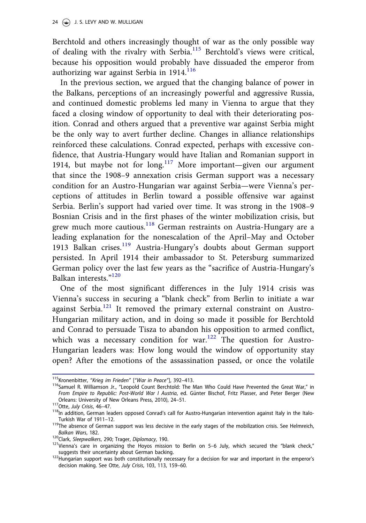Berchtold and others increasingly thought of war as the only possible way of dealing with the rivalry with Serbia.<sup>115</sup> Berchtold's views were critical, because his opposition would probably have dissuaded the emperor from authorizing war against Serbia in 1914. $116$ 

In the previous section, we argued that the changing balance of power in the Balkans, perceptions of an increasingly powerful and aggressive Russia, and continued domestic problems led many in Vienna to argue that they faced a closing window of opportunity to deal with their deteriorating position. Conrad and others argued that a preventive war against Serbia might be the only way to avert further decline. Changes in alliance relationships reinforced these calculations. Conrad expected, perhaps with excessive confidence, that Austria-Hungary would have Italian and Romanian support in 1914, but maybe not for  $\log^{117}$  More important—given our argument that since the 1908–9 annexation crisis German support was a necessary condition for an Austro-Hungarian war against Serbia—were Vienna's perceptions of attitudes in Berlin toward a possible offensive war against Serbia. Berlin's support had varied over time. It was strong in the 1908–9 Bosnian Crisis and in the first phases of the winter mobilization crisis, but grew much more cautious.<sup>118</sup> German restraints on Austria-Hungary are a leading explanation for the nonescalation of the April–May and October 1913 Balkan crises.<sup>119</sup> Austria-Hungary's doubts about German support persisted. In April 1914 their ambassador to St. Petersburg summarized German policy over the last few years as the "sacrifice of Austria-Hungary's Balkan interests."<sup>120</sup>

One of the most significant differences in the July 1914 crisis was Vienna's success in securing a "blank check" from Berlin to initiate a war against Serbia.<sup>121</sup> It removed the primary external constraint on Austro-Hungarian military action, and in doing so made it possible for Berchtold and Conrad to persuade Tisza to abandon his opposition to armed conflict, which was a necessary condition for war.<sup>122</sup> The question for Austro-Hungarian leaders was: How long would the window of opportunity stay open? After the emotions of the assassination passed, or once the volatile

<sup>115</sup>Kronenbitter, "*Krieg im Frieden*" ["*War in Peace*"], 392–413.

<sup>&</sup>lt;sup>116</sup>Samuel R. Williamson Jr., "Leopold Count Berchtold: The Man Who Could Have Prevented the Great War," in *From Empire to Republic: Post-World War I Austria*, ed. Günter Bischof, Fritz Plasser, and Peter Berger (New Orleans: University of New Orleans Press, 2010), 24–51.

<sup>117</sup>Otte, *July Crisis*, 46–47.

 $118$ In addition, German leaders opposed Conrad's call for Austro-Hungarian intervention against Italy in the Italo-Turkish War of 1911–12.

 $119$ The absence of German support was less decisive in the early stages of the mobilization crisis. See Helmreich, *Balkan Wars*, 182.

<sup>120</sup>Clark, *Sleepwalkers*, 290; Trager, *Diplomacy*, 190.

 $121$ Vienna's care in organizing the Hoyos mission to Berlin on 5-6 July, which secured the "blank check," suggests their uncertainty about German backing.

<sup>122</sup>Hungarian support was both constitutionally necessary for a decision for war and important in the emperor's decision making. See Otte, *July Crisis*, 103, 113, 159–60.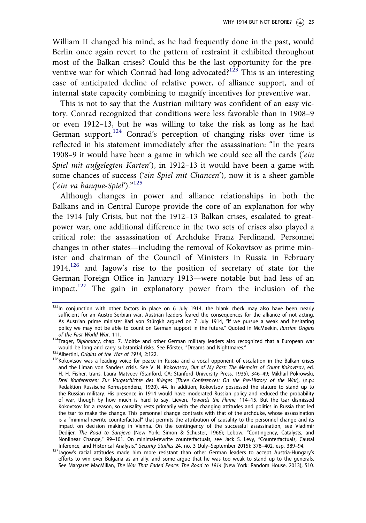William II changed his mind, as he had frequently done in the past, would Berlin once again revert to the pattern of restraint it exhibited throughout most of the Balkan crises? Could this be the last opportunity for the preventive war for which Conrad had long advocated?<sup>123</sup> This is an interesting case of anticipated decline of relative power, of alliance support, and of internal state capacity combining to magnify incentives for preventive war.

This is not to say that the Austrian military was confident of an easy victory. Conrad recognized that conditions were less favorable than in 1908–9 or even 1912–13, but he was willing to take the risk as long as he had German support.<sup>124</sup> Conrad's perception of changing risks over time is reflected in his statement immediately after the assassination: "In the years 1908–9 it would have been a game in which we could see all the cards ('ein Spiel mit aufgelegten Karten'), in 1912–13 it would have been a game with some chances of success ('*ein Spiel mit Chancen*'), now it is a sheer gamble ('ein va banque-Spiel')."<sup>125</sup>

Although changes in power and alliance relationships in both the Balkans and in Central Europe provide the core of an explanation for why the 1914 July Crisis, but not the 1912–13 Balkan crises, escalated to greatpower war, one additional difference in the two sets of crises also played a critical role: the assassination of Archduke Franz Ferdinand. Personnel changes in other states—including the removal of Kokovtsov as prime minister and chairman of the Council of Ministers in Russia in February  $1914$ ,<sup>126</sup> and Jagow's rise to the position of secretary of state for the German Foreign Office in January 1913—were notable but had less of an impact.<sup>127</sup> The gain in explanatory power from the inclusion of the

 $123$ In conjunction with other factors in place on 6 July 1914, the blank check may also have been nearly sufficient for an Austro-Serbian war. Austrian leaders feared the consequences for the alliance of not acting. As Austrian prime minister Karl von Stürgkh argued on 7 July 1914, "If we pursue a weak and hesitating policy we may not be able to count on German support in the future." Quoted in McMeekin, *Russian Origins of the First World War*, 111.

<sup>124</sup>Trager, *Diplomacy*, chap. 7. Moltke and other German military leaders also recognized that a European war would be long and carry substantial risks. See Forster, "Dreams and Nightmares."

<sup>125</sup>Albertini, *Origins of the War of 1914*, 2:122.

<sup>126</sup> Kokovtsov was a leading voice for peace in Russia and a vocal opponent of escalation in the Balkan crises and the Liman von Sanders crisis. See V. N. Kokovtsov, *Out of My Past: The Memoirs of Count Kokovtsov*, ed. H. H. Fisher, trans. Laura Matveev (Stanford, CA: Stanford University Press, 1935), 346–49; Mikhail Pokrowski, *Drei Konferenzen: Zur Vorgeschichte des Krieges* [*Three Conferences: On the Pre-History of the War*], (n.p.: Redaktion Russische Korrespondenz, 1920), 44. In addition, Kokovtsov possessed the stature to stand up to the Russian military. His presence in 1914 would have moderated Russian policy and reduced the probability of war, though by how much is hard to say. Lieven, *Towards the Flame*, 114–15. But the tsar dismissed Kokovtsov for a reason, so causality rests primarily with the changing attitudes and politics in Russia that led the tsar to make the change. This personnel change contrasts with that of the archduke, whose assassination is a "minimal-rewrite counterfactual" that permits the attribution of causality to the personnel change and its impact on decision making in Vienna. On the contingency of the successful assassination, see Vladimir Dedijer, *The Road to Sarajevo* (New York: Simon & Schuster, 1966); Lebow, "Contingency, Catalysts, and Nonlinear Change," 99–101. On minimal-rewrite counterfactuals, see Jack S. Levy, "Counterfactuals, Causal Inference, and Historical Analysis," *Security Studies* 24, no. 3 (July–September 2015): 378–402, esp. 389–94.

<sup>127</sup> Jagow's racial attitudes made him more resistant than other German leaders to accept Austria-Hungary's efforts to win over Bulgaria as an ally, and some argue that he was too weak to stand up to the generals. See Margaret MacMillan, *The War That Ended Peace: The Road to 1914* (New York: Random House, 2013), 510.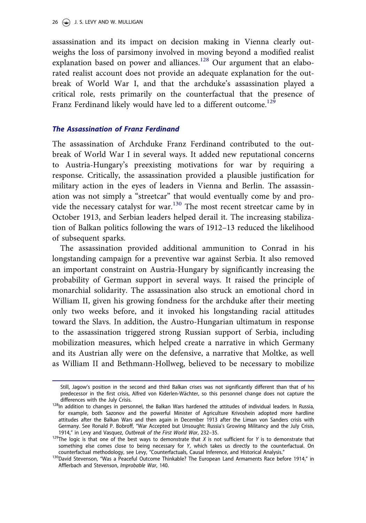assassination and its impact on decision making in Vienna clearly outweighs the loss of parsimony involved in moving beyond a modified realist explanation based on power and alliances.<sup>128</sup> Our argument that an elaborated realist account does not provide an adequate explanation for the outbreak of World War I, and that the archduke's assassination played a critical role, rests primarily on the counterfactual that the presence of Franz Ferdinand likely would have led to a different outcome.<sup>129</sup>

#### The Assassination of Franz Ferdinand

The assassination of Archduke Franz Ferdinand contributed to the outbreak of World War I in several ways. It added new reputational concerns to Austria-Hungary's preexisting motivations for war by requiring a response. Critically, the assassination provided a plausible justification for military action in the eyes of leaders in Vienna and Berlin. The assassination was not simply a "streetcar" that would eventually come by and provide the necessary catalyst for war.<sup>130</sup> The most recent streetcar came by in October 1913, and Serbian leaders helped derail it. The increasing stabilization of Balkan politics following the wars of 1912–13 reduced the likelihood of subsequent sparks.

The assassination provided additional ammunition to Conrad in his longstanding campaign for a preventive war against Serbia. It also removed an important constraint on Austria-Hungary by significantly increasing the probability of German support in several ways. It raised the principle of monarchial solidarity. The assassination also struck an emotional chord in William II, given his growing fondness for the archduke after their meeting only two weeks before, and it invoked his longstanding racial attitudes toward the Slavs. In addition, the Austro-Hungarian ultimatum in response to the assassination triggered strong Russian support of Serbia, including mobilization measures, which helped create a narrative in which Germany and its Austrian ally were on the defensive, a narrative that Moltke, as well as William II and Bethmann-Hollweg, believed to be necessary to mobilize

Still, Jagow's position in the second and third Balkan crises was not significantly different than that of his predecessor in the first crisis, Alfred von Kiderlen-Wächter, so this personnel change does not capture the differences with the July Crisis.

<sup>128</sup>In addition to changes in personnel, the Balkan Wars hardened the attitudes of individual leaders. In Russia, for example, both Sazonov and the powerful Minister of Agriculture Krivoshein adopted more hardline attitudes after the Balkan Wars and then again in December 1913 after the Liman von Sanders crisis with Germany. See Ronald P. Bobroff, "War Accepted but Unsought: Russia's Growing Militancy and the July Crisis, 1914," in Levy and Vasquez, *Outbreak of the First World War*, 232–35.

<sup>129</sup>The logic is that one of the best ways to demonstrate that *X* is not sufficient for *Y* is to demonstrate that something else comes close to being necessary for *Y*, which takes us directly to the counterfactual. On counterfactual methodology, see Levy, "Counterfactuals, Causal Inference, and Historical Analysis."

<sup>130</sup> David Stevenson, "Was a Peaceful Outcome Thinkable? The European Land Armaments Race before 1914," in Afflerbach and Stevenson, *Improbable War*, 140.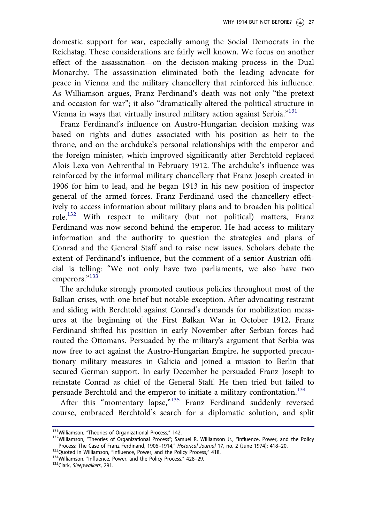domestic support for war, especially among the Social Democrats in the Reichstag. These considerations are fairly well known. We focus on another effect of the assassination—on the decision-making process in the Dual Monarchy. The assassination eliminated both the leading advocate for peace in Vienna and the military chancellery that reinforced his influence. As Williamson argues, Franz Ferdinand's death was not only "the pretext and occasion for war"; it also "dramatically altered the political structure in Vienna in ways that virtually insured military action against Serbia."<sup>131</sup>

Franz Ferdinand's influence on Austro-Hungarian decision making was based on rights and duties associated with his position as heir to the throne, and on the archduke's personal relationships with the emperor and the foreign minister, which improved significantly after Berchtold replaced Alois Lexa von Aehrenthal in February 1912. The archduke's influence was reinforced by the informal military chancellery that Franz Joseph created in 1906 for him to lead, and he began 1913 in his new position of inspector general of the armed forces. Franz Ferdinand used the chancellery effectively to access information about military plans and to broaden his political role.<sup>132</sup> With respect to military (but not political) matters, Franz Ferdinand was now second behind the emperor. He had access to military information and the authority to question the strategies and plans of Conrad and the General Staff and to raise new issues. Scholars debate the extent of Ferdinand's influence, but the comment of a senior Austrian official is telling: "We not only have two parliaments, we also have two emperors."133

The archduke strongly promoted cautious policies throughout most of the Balkan crises, with one brief but notable exception. After advocating restraint and siding with Berchtold against Conrad's demands for mobilization measures at the beginning of the First Balkan War in October 1912, Franz Ferdinand shifted his position in early November after Serbian forces had routed the Ottomans. Persuaded by the military's argument that Serbia was now free to act against the Austro-Hungarian Empire, he supported precautionary military measures in Galicia and joined a mission to Berlin that secured German support. In early December he persuaded Franz Joseph to reinstate Conrad as chief of the General Staff. He then tried but failed to persuade Berchtold and the emperor to initiate a military confrontation.<sup>134</sup>

After this "momentary lapse,"<sup>135</sup> Franz Ferdinand suddenly reversed course, embraced Berchtold's search for a diplomatic solution, and split

<sup>131</sup>Williamson, "Theories of Organizational Process," 142.

<sup>&</sup>lt;sup>132</sup>Williamson, "Theories of Organizational Process"; Samuel R. Williamson Jr., "Influence, Power, and the Policy Process: The Case of Franz Ferdinand, 1906–1914," *Historical Journal* 17, no. 2 (June 1974): 418–20.

<sup>133</sup>Quoted in Williamson, "Influence, Power, and the Policy Process," 418. 134 Williamson, "Influence, Power, and the Policy Process," 428-29.

<sup>135</sup>Clark, *Sleepwalkers*, 291.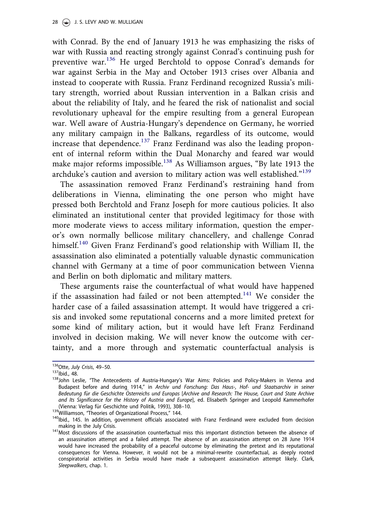with Conrad. By the end of January 1913 he was emphasizing the risks of war with Russia and reacting strongly against Conrad's continuing push for preventive war.<sup>136</sup> He urged Berchtold to oppose Conrad's demands for war against Serbia in the May and October 1913 crises over Albania and instead to cooperate with Russia. Franz Ferdinand recognized Russia's military strength, worried about Russian intervention in a Balkan crisis and about the reliability of Italy, and he feared the risk of nationalist and social revolutionary upheaval for the empire resulting from a general European war. Well aware of Austria-Hungary's dependence on Germany, he worried any military campaign in the Balkans, regardless of its outcome, would increase that dependence.<sup>137</sup> Franz Ferdinand was also the leading proponent of internal reform within the Dual Monarchy and feared war would make major reforms impossible.<sup>138</sup> As Williamson argues, "By late 1913 the archduke's caution and aversion to military action was well established." 139

The assassination removed Franz Ferdinand's restraining hand from deliberations in Vienna, eliminating the one person who might have pressed both Berchtold and Franz Joseph for more cautious policies. It also eliminated an institutional center that provided legitimacy for those with more moderate views to access military information, question the emperor's own normally bellicose military chancellery, and challenge Conrad himself.<sup>140</sup> Given Franz Ferdinand's good relationship with William II, the assassination also eliminated a potentially valuable dynastic communication channel with Germany at a time of poor communication between Vienna and Berlin on both diplomatic and military matters.

These arguments raise the counterfactual of what would have happened if the assassination had failed or not been attempted.<sup>141</sup> We consider the harder case of a failed assassination attempt. It would have triggered a crisis and invoked some reputational concerns and a more limited pretext for some kind of military action, but it would have left Franz Ferdinand involved in decision making. We will never know the outcome with certainty, and a more through and systematic counterfactual analysis is

<sup>136</sup>Otte, *July Crisis*, 49–50.

<sup>137</sup>Ibid., 48.

<sup>&</sup>lt;sup>138</sup>John Leslie, "The Antecedents of Austria-Hungary's War Aims: Policies and Policy-Makers in Vienna and Budapest before and during 1914," in *Archiv und Forschung: Das Haus-, Hof- und Staatsarchiv in seiner Bedeutung f*€*ur die Geschichte Osterreichs und Europas* € [*Archive and Research: The House, Court and State Archive and Its Significance for the History of Austria and Europe*], ed. Elisabeth Springer and Leopold Kammerhofer (Vienna: Verlag für Geschichte und Politik, 1993), 308-10.

<sup>139</sup>Williamson, "Theories of Organizational Process," 144.

 $140$ Ibid., 145. In addition, government officials associated with Franz Ferdinand were excluded from decision making in the July Crisis.

<sup>141</sup>Most discussions of the assassination counterfactual miss this important distinction between the absence of an assassination attempt and a failed attempt. The absence of an assassination attempt on 28 June 1914 would have increased the probability of a peaceful outcome by eliminating the pretext and its reputational consequences for Vienna. However, it would not be a minimal-rewrite counterfactual, as deeply rooted conspiratorial activities in Serbia would have made a subsequent assassination attempt likely. Clark, *Sleepwalkers*, chap. 1.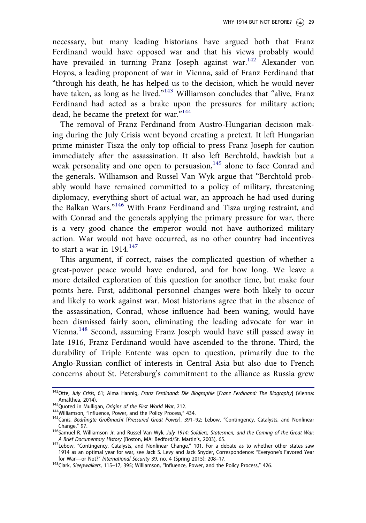necessary, but many leading historians have argued both that Franz Ferdinand would have opposed war and that his views probably would have prevailed in turning Franz Joseph against war.<sup>142</sup> Alexander von Hoyos, a leading proponent of war in Vienna, said of Franz Ferdinand that "through his death, he has helped us to the decision, which he would never have taken, as long as he lived."<sup>143</sup> Williamson concludes that "alive, Franz Ferdinand had acted as a brake upon the pressures for military action; dead, he became the pretext for war."<sup>144</sup>

The removal of Franz Ferdinand from Austro-Hungarian decision making during the July Crisis went beyond creating a pretext. It left Hungarian prime minister Tisza the only top official to press Franz Joseph for caution immediately after the assassination. It also left Berchtold, hawkish but a weak personality and one open to persuasion,<sup>145</sup> alone to face Conrad and the generals. Williamson and Russel Van Wyk argue that "Berchtold probably would have remained committed to a policy of military, threatening diplomacy, everything short of actual war, an approach he had used during the Balkan Wars."<sup>146</sup> With Franz Ferdinand and Tisza urging restraint, and with Conrad and the generals applying the primary pressure for war, there is a very good chance the emperor would not have authorized military action. War would not have occurred, as no other country had incentives to start a war in  $1914.<sup>147</sup>$ 

This argument, if correct, raises the complicated question of whether a great-power peace would have endured, and for how long. We leave a more detailed exploration of this question for another time, but make four points here. First, additional personnel changes were both likely to occur and likely to work against war. Most historians agree that in the absence of the assassination, Conrad, whose influence had been waning, would have been dismissed fairly soon, eliminating the leading advocate for war in Vienna.<sup>148</sup> Second, assuming Franz Joseph would have still passed away in late 1916, Franz Ferdinand would have ascended to the throne. Third, the durability of Triple Entente was open to question, primarily due to the Anglo-Russian conflict of interests in Central Asia but also due to French concerns about St. Petersburg's commitment to the alliance as Russia grew

<sup>142</sup>Otte, *July Crisis*, 61; Alma Hannig, *Franz Ferdinand: Die Biographie* [*Franz Ferdinand: The Biography*] (Vienna: Amalthea, 2014). <sup>143</sup>Quoted in Mulligan, *Origins of the First World War*, 212.

<sup>144</sup> Williamson, "Influence, Power, and the Policy Process," 434.

<sup>&</sup>lt;sup>145</sup>Canis, *Bedrängte Großmacht* [Pressured Great Power], 391–92; Lebow, "Contingency, Catalysts, and Nonlinear Change," 97.

<sup>146</sup>Samuel R. Williamson Jr. and Russel Van Wyk, *July 1914: Soldiers, Statesmen, and the Coming of the Great War: A Brief Documentary History* (Boston, MA: Bedford/St. Martin's, 2003), 65.

<sup>147</sup>Lebow, "Contingency, Catalysts, and Nonlinear Change," 101. For a debate as to whether other states saw 1914 as an optimal year for war, see Jack S. Levy and Jack Snyder, Correspondence: "Everyone's Favored Year for War—or Not?" *International Security* 39, no. 4 (Spring 2015): 208–17.

<sup>148</sup>Clark, *Sleepwalkers*, 115–17, 395; Williamson, "Influence, Power, and the Policy Process," 426.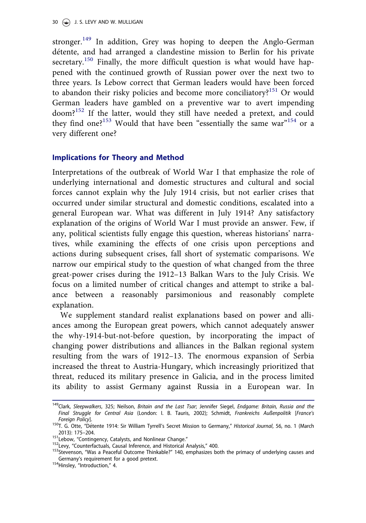stronger.<sup>149</sup> In addition, Grey was hoping to deepen the Anglo-German détente, and had arranged a clandestine mission to Berlin for his private secretary.<sup>150</sup> Finally, the more difficult question is what would have happened with the continued growth of Russian power over the next two to three years. Is Lebow correct that German leaders would have been forced to abandon their risky policies and become more conciliatory?<sup>151</sup> Or would German leaders have gambled on a preventive war to avert impending doom?<sup>152</sup> If the latter, would they still have needed a pretext, and could they find one?<sup>153</sup> Would that have been "essentially the same war"<sup>154</sup> or a very different one?

# Implications for Theory and Method

Interpretations of the outbreak of World War I that emphasize the role of underlying international and domestic structures and cultural and social forces cannot explain why the July 1914 crisis, but not earlier crises that occurred under similar structural and domestic conditions, escalated into a general European war. What was different in July 1914? Any satisfactory explanation of the origins of World War I must provide an answer. Few, if any, political scientists fully engage this question, whereas historians' narratives, while examining the effects of one crisis upon perceptions and actions during subsequent crises, fall short of systematic comparisons. We narrow our empirical study to the question of what changed from the three great-power crises during the 1912–13 Balkan Wars to the July Crisis. We focus on a limited number of critical changes and attempt to strike a balance between a reasonably parsimonious and reasonably complete explanation.

We supplement standard realist explanations based on power and alliances among the European great powers, which cannot adequately answer the why-1914-but-not-before question, by incorporating the impact of changing power distributions and alliances in the Balkan regional system resulting from the wars of 1912–13. The enormous expansion of Serbia increased the threat to Austria-Hungary, which increasingly prioritized that threat, reduced its military presence in Galicia, and in the process limited its ability to assist Germany against Russia in a European war. In

<sup>149</sup>Clark, *Sleepwalkers*, 325; Neilson, *Britain and the Last Tsar*; Jennifer Siegel, *Endgame: Britain, Russia and the Final Struggle for Central Asia* (London: I. B. Tauris, 2002); Schmidt, *Frankreichs Außenpolitik* [*France*'*s Foreign Policy*].

<sup>&</sup>lt;sup>150</sup>T. G. Otte, "Détente 1914: Sir William Tyrrell's Secret Mission to Germany," Historical Journal, 56, no. 1 (March 2013): 175–204.

<sup>151</sup> Lebow, "Contingency, Catalysts, and Nonlinear Change."

<sup>152</sup>Levy, "Counterfactuals, Causal Inference, and Historical Analysis," 400.

<sup>&</sup>lt;sup>153</sup>Stevenson, "Was a Peaceful Outcome Thinkable?" 140, emphasizes both the primacy of underlying causes and Germany's requirement for a good pretext.

<sup>&</sup>lt;sup>154</sup>Hinsley, "Introduction," 4.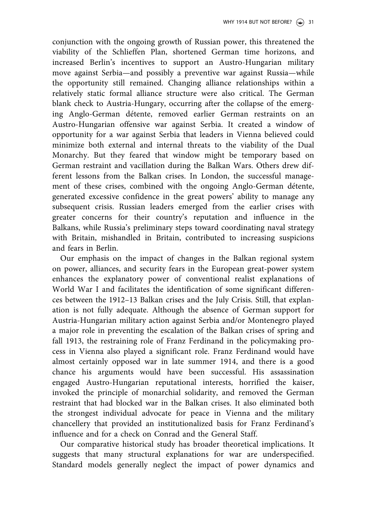conjunction with the ongoing growth of Russian power, this threatened the viability of the Schlieffen Plan, shortened German time horizons, and increased Berlin's incentives to support an Austro-Hungarian military move against Serbia—and possibly a preventive war against Russia—while the opportunity still remained. Changing alliance relationships within a relatively static formal alliance structure were also critical. The German blank check to Austria-Hungary, occurring after the collapse of the emerging Anglo-German détente, removed earlier German restraints on an Austro-Hungarian offensive war against Serbia. It created a window of opportunity for a war against Serbia that leaders in Vienna believed could minimize both external and internal threats to the viability of the Dual Monarchy. But they feared that window might be temporary based on German restraint and vacillation during the Balkan Wars. Others drew different lessons from the Balkan crises. In London, the successful management of these crises, combined with the ongoing Anglo-German détente, generated excessive confidence in the great powers' ability to manage any subsequent crisis. Russian leaders emerged from the earlier crises with greater concerns for their country's reputation and influence in the Balkans, while Russia's preliminary steps toward coordinating naval strategy with Britain, mishandled in Britain, contributed to increasing suspicions and fears in Berlin.

Our emphasis on the impact of changes in the Balkan regional system on power, alliances, and security fears in the European great-power system enhances the explanatory power of conventional realist explanations of World War I and facilitates the identification of some significant differences between the 1912–13 Balkan crises and the July Crisis. Still, that explanation is not fully adequate. Although the absence of German support for Austria-Hungarian military action against Serbia and/or Montenegro played a major role in preventing the escalation of the Balkan crises of spring and fall 1913, the restraining role of Franz Ferdinand in the policymaking process in Vienna also played a significant role. Franz Ferdinand would have almost certainly opposed war in late summer 1914, and there is a good chance his arguments would have been successful. His assassination engaged Austro-Hungarian reputational interests, horrified the kaiser, invoked the principle of monarchial solidarity, and removed the German restraint that had blocked war in the Balkan crises. It also eliminated both the strongest individual advocate for peace in Vienna and the military chancellery that provided an institutionalized basis for Franz Ferdinand's influence and for a check on Conrad and the General Staff.

Our comparative historical study has broader theoretical implications. It suggests that many structural explanations for war are underspecified. Standard models generally neglect the impact of power dynamics and